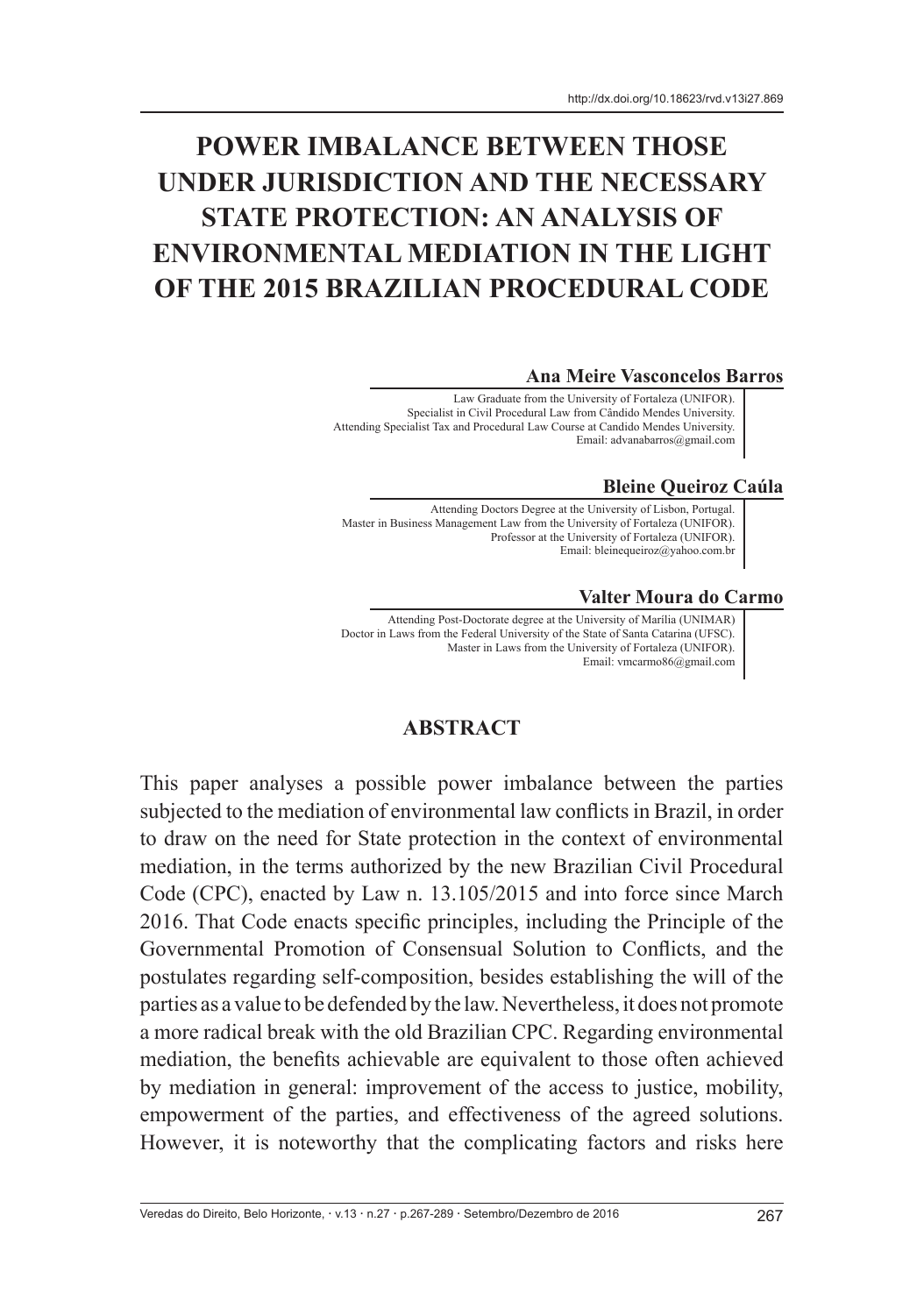# **POWER IMBALANCE BETWEEN THOSE UNDER JURISDICTION AND THE NECESSARY STATE PROTECTION: AN ANALYSIS OF ENVIRONMENTAL MEDIATION IN THE LIGHT OF THE 2015 BRAZILIAN PROCEDURAL CODE**

#### **Ana Meire Vasconcelos Barros**

Law Graduate from the University of Fortaleza (UNIFOR). Specialist in Civil Procedural Law from Cândido Mendes University. Attending Specialist Tax and Procedural Law Course at Candido Mendes University. Email: advanabarros@gmail.com

#### **Bleine Queiroz Caúla**

Attending Doctors Degree at the University of Lisbon, Portugal. Master in Business Management Law from the University of Fortaleza (UNIFOR). Professor at the University of Fortaleza (UNIFOR). Email: bleinequeiroz@yahoo.com.br

#### **Valter Moura do Carmo**

Attending Post-Doctorate degree at the University of Marília (UNIMAR) Doctor in Laws from the Federal University of the State of Santa Catarina (UFSC). Master in Laws from the University of Fortaleza (UNIFOR). Email: vmcarmo86@gmail.com

#### **ABSTRACT**

This paper analyses a possible power imbalance between the parties subjected to the mediation of environmental law conflicts in Brazil, in order to draw on the need for State protection in the context of environmental mediation, in the terms authorized by the new Brazilian Civil Procedural Code (CPC), enacted by Law n. 13.105/2015 and into force since March 2016. That Code enacts specific principles, including the Principle of the Governmental Promotion of Consensual Solution to Conflicts, and the postulates regarding self-composition, besides establishing the will of the parties as a value to be defended by the law. Nevertheless, it does not promote a more radical break with the old Brazilian CPC. Regarding environmental mediation, the benefits achievable are equivalent to those often achieved by mediation in general: improvement of the access to justice, mobility, empowerment of the parties, and effectiveness of the agreed solutions. However, it is noteworthy that the complicating factors and risks here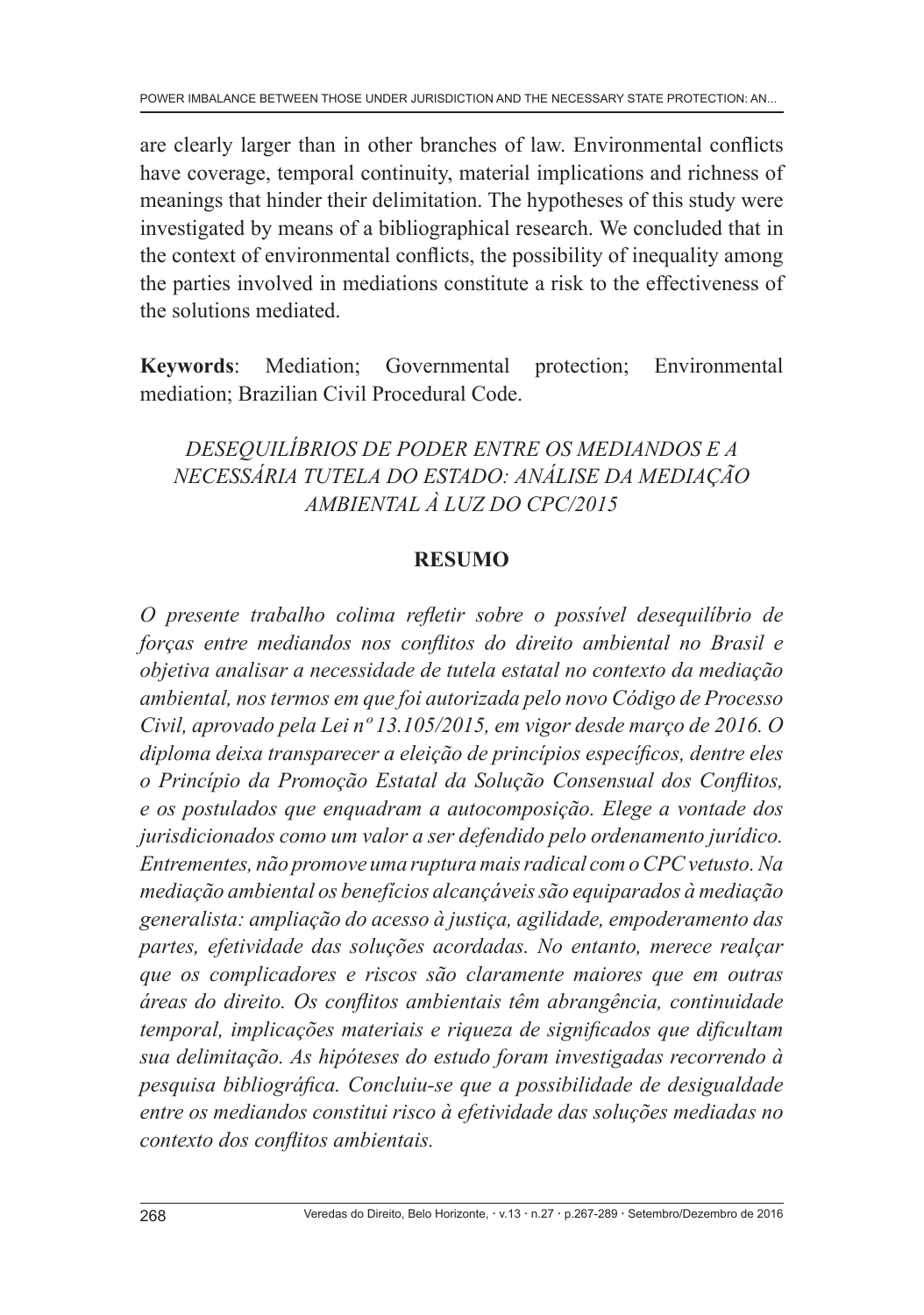are clearly larger than in other branches of law. Environmental conflicts have coverage, temporal continuity, material implications and richness of meanings that hinder their delimitation. The hypotheses of this study were investigated by means of a bibliographical research. We concluded that in the context of environmental conflicts, the possibility of inequality among the parties involved in mediations constitute a risk to the effectiveness of the solutions mediated.

**Keywords**: Mediation; Governmental protection; Environmental mediation; Brazilian Civil Procedural Code.

*DESEQUILÍBRIOS DE PODER ENTRE OS MEDIANDOS E A NECESSÁRIA TUTELA DO ESTADO: ANÁLISE DA MEDIAÇÃO AMBIENTAL À LUZ DO CPC/2015*

# **RESUMO**

*O presente trabalho colima refletir sobre o possível desequilíbrio de forças entre mediandos nos conflitos do direito ambiental no Brasil e objetiva analisar a necessidade de tutela estatal no contexto da mediação ambiental, nos termos em que foi autorizada pelo novo Código de Processo Civil, aprovado pela Lei nº 13.105/2015, em vigor desde março de 2016. O diploma deixa transparecer a eleição de princípios específicos, dentre eles o Princípio da Promoção Estatal da Solução Consensual dos Conflitos, e os postulados que enquadram a autocomposição. Elege a vontade dos jurisdicionados como um valor a ser defendido pelo ordenamento jurídico. Entrementes, não promove uma ruptura mais radical com o CPC vetusto. Na mediação ambiental os benefícios alcançáveis são equiparados à mediação generalista: ampliação do acesso à justiça, agilidade, empoderamento das partes, efetividade das soluções acordadas. No entanto, merece realçar que os complicadores e riscos são claramente maiores que em outras áreas do direito. Os conflitos ambientais têm abrangência, continuidade temporal, implicações materiais e riqueza de significados que dificultam sua delimitação. As hipóteses do estudo foram investigadas recorrendo à pesquisa bibliográfica. Concluiu-se que a possibilidade de desigualdade entre os mediandos constitui risco à efetividade das soluções mediadas no contexto dos conflitos ambientais.*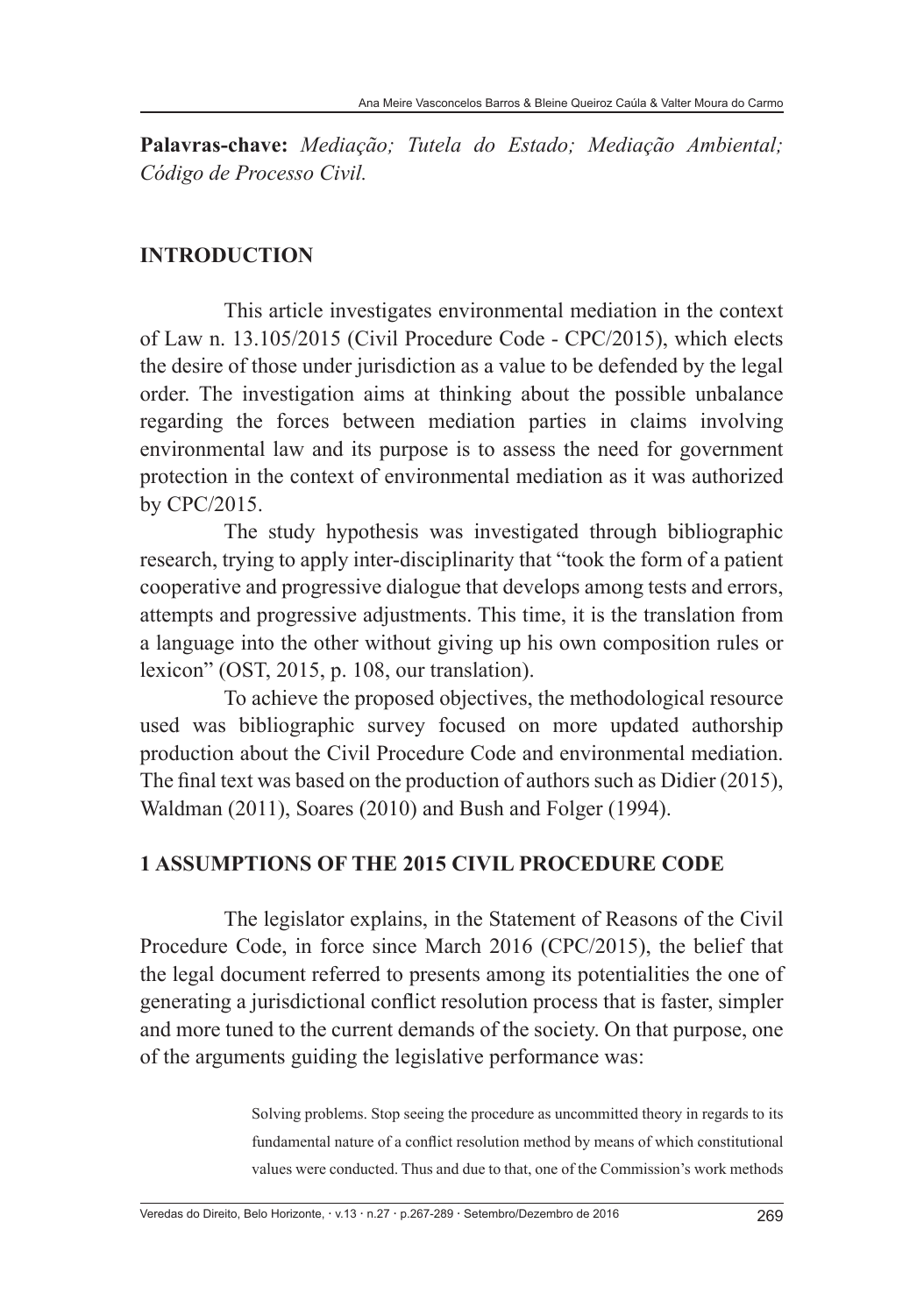**Palavras-chave:** *Mediação; Tutela do Estado; Mediação Ambiental; Código de Processo Civil.*

## **INTRODUCTION**

This article investigates environmental mediation in the context of Law n. 13.105/2015 (Civil Procedure Code - CPC/2015), which elects the desire of those under jurisdiction as a value to be defended by the legal order. The investigation aims at thinking about the possible unbalance regarding the forces between mediation parties in claims involving environmental law and its purpose is to assess the need for government protection in the context of environmental mediation as it was authorized by CPC/2015.

The study hypothesis was investigated through bibliographic research, trying to apply inter-disciplinarity that "took the form of a patient cooperative and progressive dialogue that develops among tests and errors, attempts and progressive adjustments. This time, it is the translation from a language into the other without giving up his own composition rules or lexicon" (OST, 2015, p. 108, our translation).

To achieve the proposed objectives, the methodological resource used was bibliographic survey focused on more updated authorship production about the Civil Procedure Code and environmental mediation. The final text was based on the production of authors such as Didier (2015), Waldman (2011), Soares (2010) and Bush and Folger (1994).

#### **1 ASSUMPTIONS OF THE 2015 CIVIL PROCEDURE CODE**

The legislator explains, in the Statement of Reasons of the Civil Procedure Code, in force since March 2016 (CPC/2015), the belief that the legal document referred to presents among its potentialities the one of generating a jurisdictional conflict resolution process that is faster, simpler and more tuned to the current demands of the society. On that purpose, one of the arguments guiding the legislative performance was:

> Solving problems. Stop seeing the procedure as uncommitted theory in regards to its fundamental nature of a conflict resolution method by means of which constitutional values were conducted. Thus and due to that, one of the Commission's work methods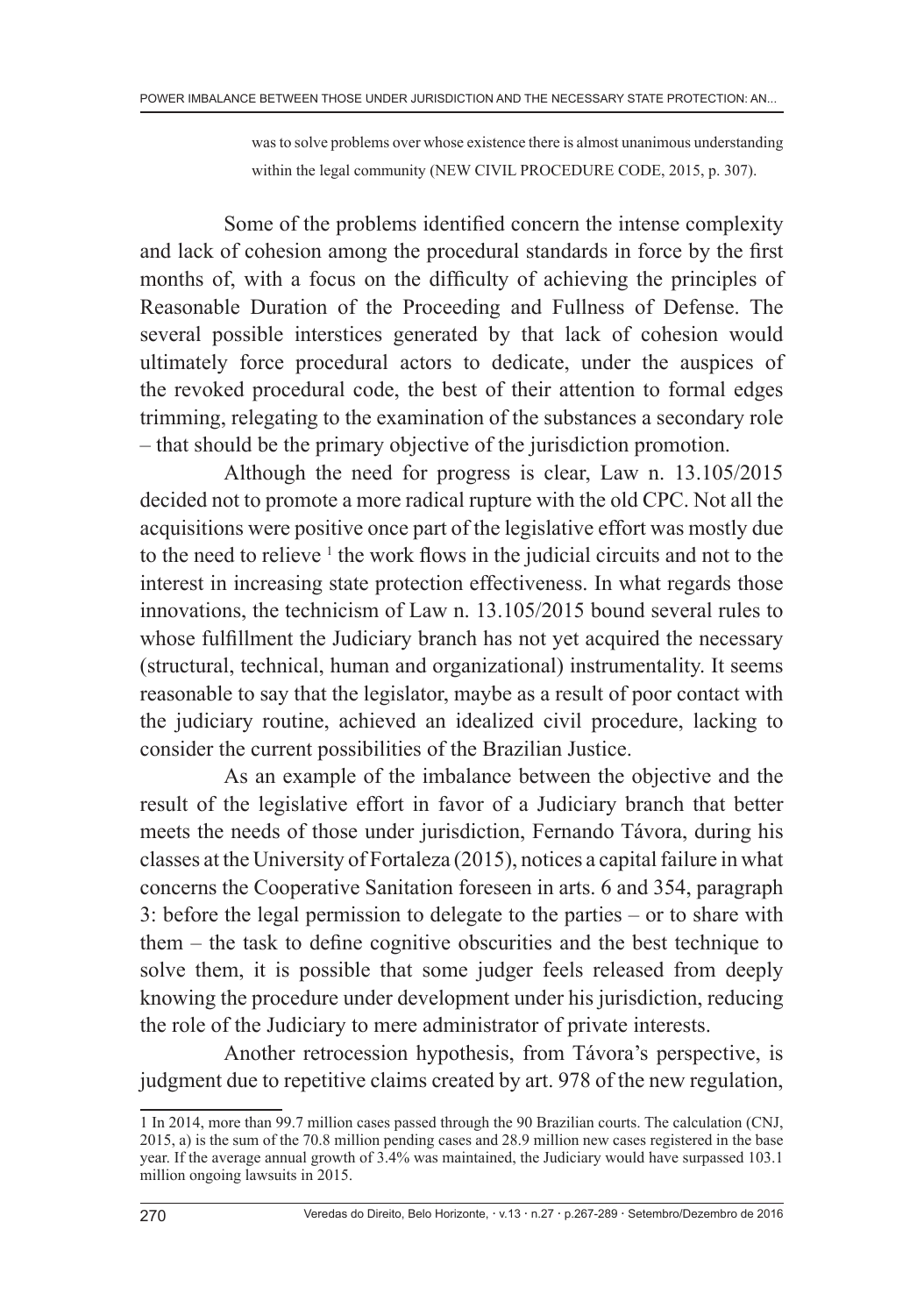was to solve problems over whose existence there is almost unanimous understanding within the legal community (NEW CIVIL PROCEDURE CODE, 2015, p. 307).

Some of the problems identified concern the intense complexity and lack of cohesion among the procedural standards in force by the first months of, with a focus on the difficulty of achieving the principles of Reasonable Duration of the Proceeding and Fullness of Defense. The several possible interstices generated by that lack of cohesion would ultimately force procedural actors to dedicate, under the auspices of the revoked procedural code, the best of their attention to formal edges trimming, relegating to the examination of the substances a secondary role – that should be the primary objective of the jurisdiction promotion.

Although the need for progress is clear, Law n. 13.105/2015 decided not to promote a more radical rupture with the old CPC. Not all the acquisitions were positive once part of the legislative effort was mostly due to the need to relieve <sup>1</sup> the work flows in the judicial circuits and not to the interest in increasing state protection effectiveness. In what regards those innovations, the technicism of Law n. 13.105/2015 bound several rules to whose fulfillment the Judiciary branch has not yet acquired the necessary (structural, technical, human and organizational) instrumentality. It seems reasonable to say that the legislator, maybe as a result of poor contact with the judiciary routine, achieved an idealized civil procedure, lacking to consider the current possibilities of the Brazilian Justice.

As an example of the imbalance between the objective and the result of the legislative effort in favor of a Judiciary branch that better meets the needs of those under jurisdiction, Fernando Távora, during his classes at the University of Fortaleza (2015), notices a capital failure in what concerns the Cooperative Sanitation foreseen in arts. 6 and 354, paragraph 3: before the legal permission to delegate to the parties – or to share with them – the task to define cognitive obscurities and the best technique to solve them, it is possible that some judger feels released from deeply knowing the procedure under development under his jurisdiction, reducing the role of the Judiciary to mere administrator of private interests.

Another retrocession hypothesis, from Távora's perspective, is judgment due to repetitive claims created by art. 978 of the new regulation,

<sup>1</sup> In 2014, more than 99.7 million cases passed through the 90 Brazilian courts. The calculation (CNJ, 2015, a) is the sum of the 70.8 million pending cases and 28.9 million new cases registered in the base year. If the average annual growth of 3.4% was maintained, the Judiciary would have surpassed 103.1 million ongoing lawsuits in 2015.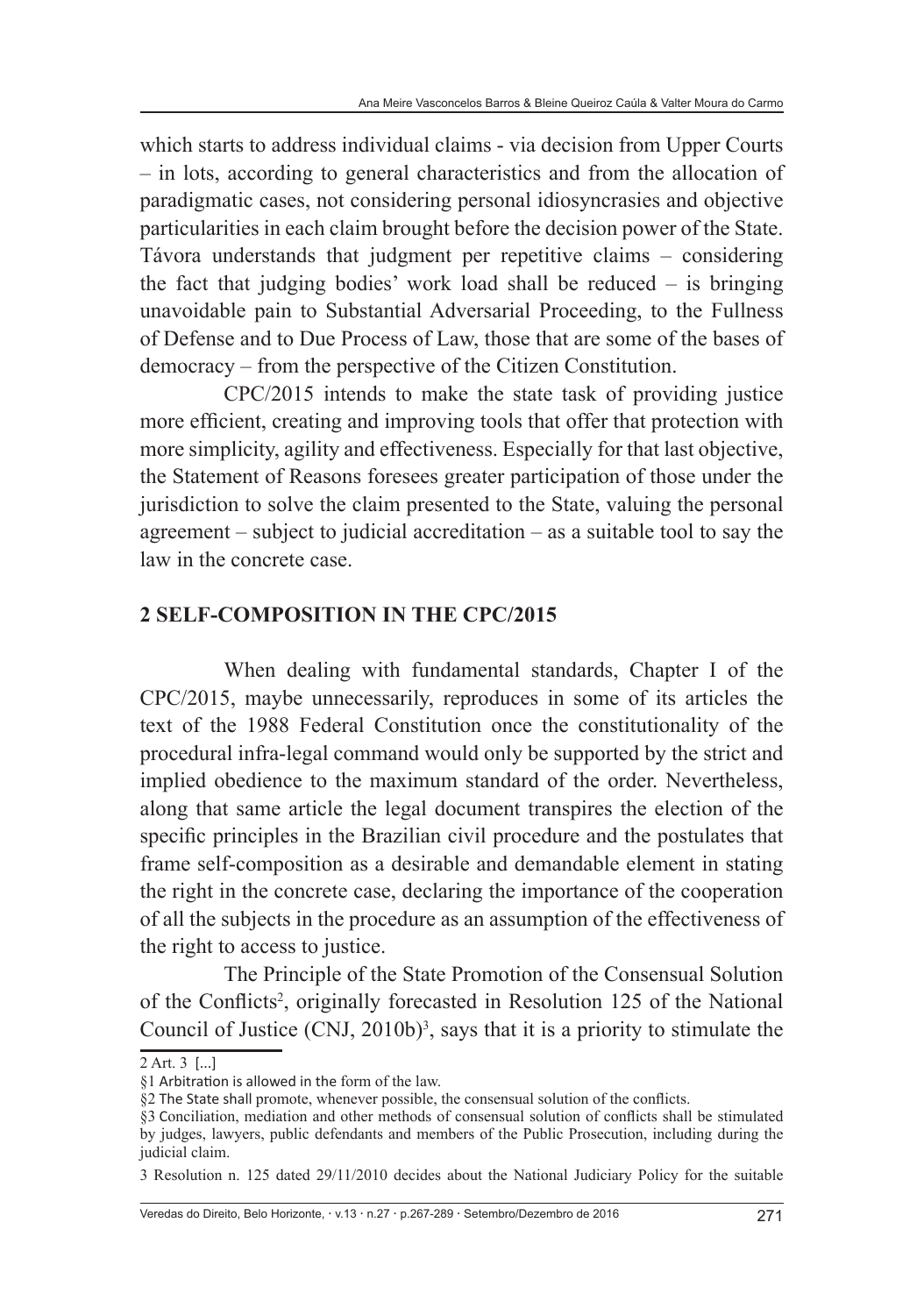which starts to address individual claims - via decision from Upper Courts – in lots, according to general characteristics and from the allocation of paradigmatic cases, not considering personal idiosyncrasies and objective particularities in each claim brought before the decision power of the State. Távora understands that judgment per repetitive claims – considering the fact that judging bodies' work load shall be reduced – is bringing unavoidable pain to Substantial Adversarial Proceeding, to the Fullness of Defense and to Due Process of Law, those that are some of the bases of democracy – from the perspective of the Citizen Constitution.

CPC/2015 intends to make the state task of providing justice more efficient, creating and improving tools that offer that protection with more simplicity, agility and effectiveness. Especially for that last objective, the Statement of Reasons foresees greater participation of those under the jurisdiction to solve the claim presented to the State, valuing the personal agreement – subject to judicial accreditation – as a suitable tool to say the law in the concrete case.

## **2 SELF-COMPOSITION IN THE CPC/2015**

When dealing with fundamental standards, Chapter I of the CPC/2015, maybe unnecessarily, reproduces in some of its articles the text of the 1988 Federal Constitution once the constitutionality of the procedural infra-legal command would only be supported by the strict and implied obedience to the maximum standard of the order. Nevertheless, along that same article the legal document transpires the election of the specific principles in the Brazilian civil procedure and the postulates that frame self-composition as a desirable and demandable element in stating the right in the concrete case, declaring the importance of the cooperation of all the subjects in the procedure as an assumption of the effectiveness of the right to access to justice.

The Principle of the State Promotion of the Consensual Solution of the Conflicts<sup>2</sup>, originally forecasted in Resolution 125 of the National Council of Justice  $(CNI, 2010b)^3$ , says that it is a priority to stimulate the

Veredas do Direito, Belo Horizonte, v.13 n.27 p.267-289 Setembro/Dezembro de 2016 271

<sup>2</sup> Art. 3  [...]

<sup>§1</sup> Arbitration is allowed in the form of the law.

<sup>§2</sup> The State shall promote, whenever possible, the consensual solution of the conflicts.

<sup>§3</sup> Conciliation, mediation and other methods of consensual solution of conflicts shall be stimulated by judges, lawyers, public defendants and members of the Public Prosecution, including during the judicial claim.

<sup>3</sup> Resolution n. 125 dated 29/11/2010 decides about the National Judiciary Policy for the suitable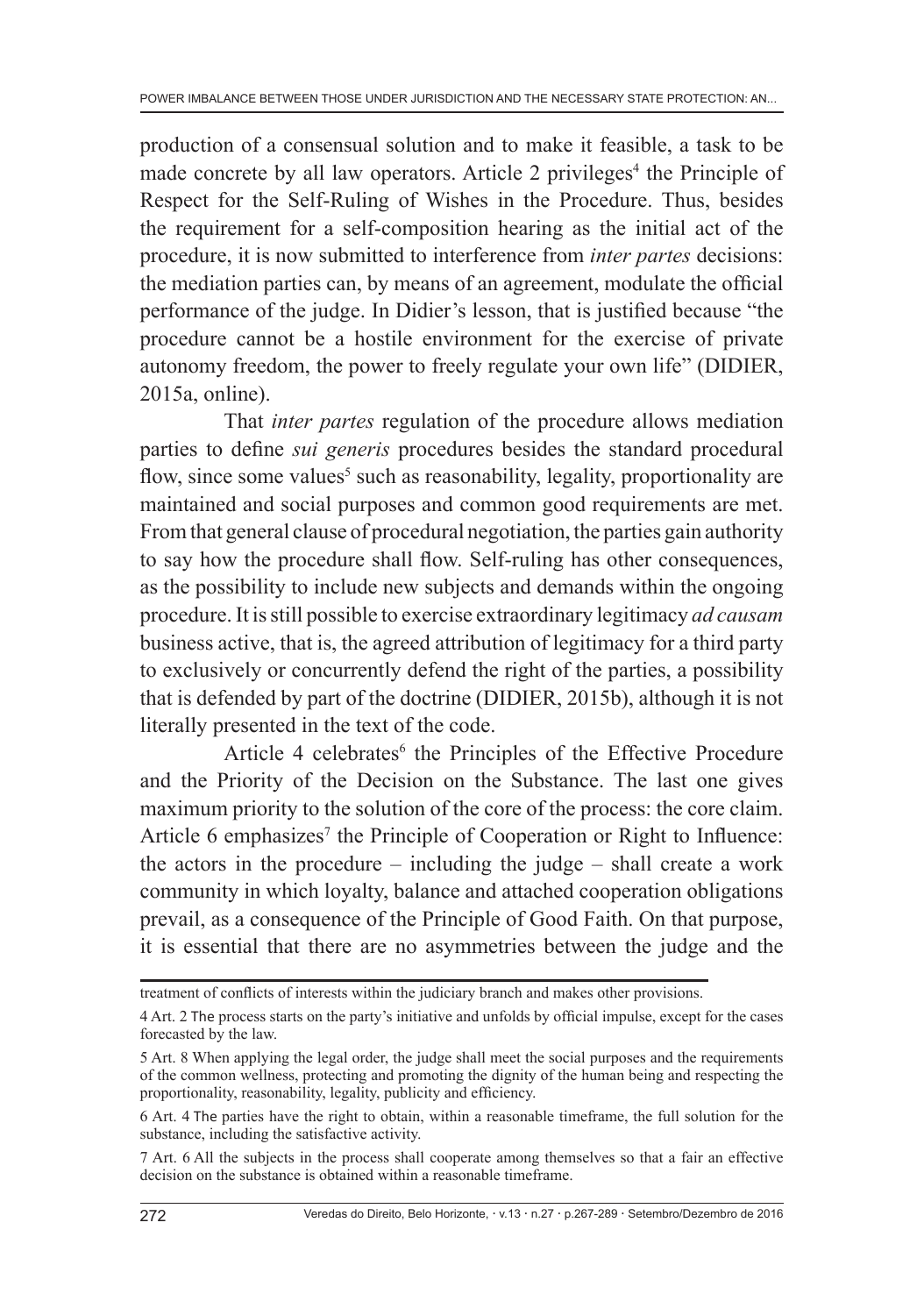production of a consensual solution and to make it feasible, a task to be made concrete by all law operators. Article 2 privileges<sup>4</sup> the Principle of Respect for the Self-Ruling of Wishes in the Procedure. Thus, besides the requirement for a self-composition hearing as the initial act of the procedure, it is now submitted to interference from *inter partes* decisions: the mediation parties can, by means of an agreement, modulate the official performance of the judge. In Didier's lesson, that is justified because "the procedure cannot be a hostile environment for the exercise of private autonomy freedom, the power to freely regulate your own life" (DIDIER, 2015a, online).

That *inter partes* regulation of the procedure allows mediation parties to define *sui generis* procedures besides the standard procedural flow, since some values<sup>5</sup> such as reasonability, legality, proportionality are maintained and social purposes and common good requirements are met. From that general clause of procedural negotiation, the parties gain authority to say how the procedure shall flow. Self-ruling has other consequences, as the possibility to include new subjects and demands within the ongoing procedure. It is still possible to exercise extraordinary legitimacy *ad causam*  business active, that is, the agreed attribution of legitimacy for a third party to exclusively or concurrently defend the right of the parties, a possibility that is defended by part of the doctrine (DIDIER, 2015b), although it is not literally presented in the text of the code.

Article 4 celebrates<sup>6</sup> the Principles of the Effective Procedure and the Priority of the Decision on the Substance. The last one gives maximum priority to the solution of the core of the process: the core claim. Article 6 emphasizes<sup>7</sup> the Principle of Cooperation or Right to Influence: the actors in the procedure – including the judge – shall create a work community in which loyalty, balance and attached cooperation obligations prevail, as a consequence of the Principle of Good Faith. On that purpose, it is essential that there are no asymmetries between the judge and the

treatment of conflicts of interests within the judiciary branch and makes other provisions.

<sup>4</sup> Art. 2 The process starts on the party's initiative and unfolds by official impulse, except for the cases forecasted by the law.

<sup>5</sup> Art. 8 When applying the legal order, the judge shall meet the social purposes and the requirements of the common wellness, protecting and promoting the dignity of the human being and respecting the proportionality, reasonability, legality, publicity and efficiency.

<sup>6</sup> Art. 4 The parties have the right to obtain, within a reasonable timeframe, the full solution for the substance, including the satisfactive activity.

<sup>7</sup> Art. 6 All the subjects in the process shall cooperate among themselves so that a fair an effective decision on the substance is obtained within a reasonable timeframe.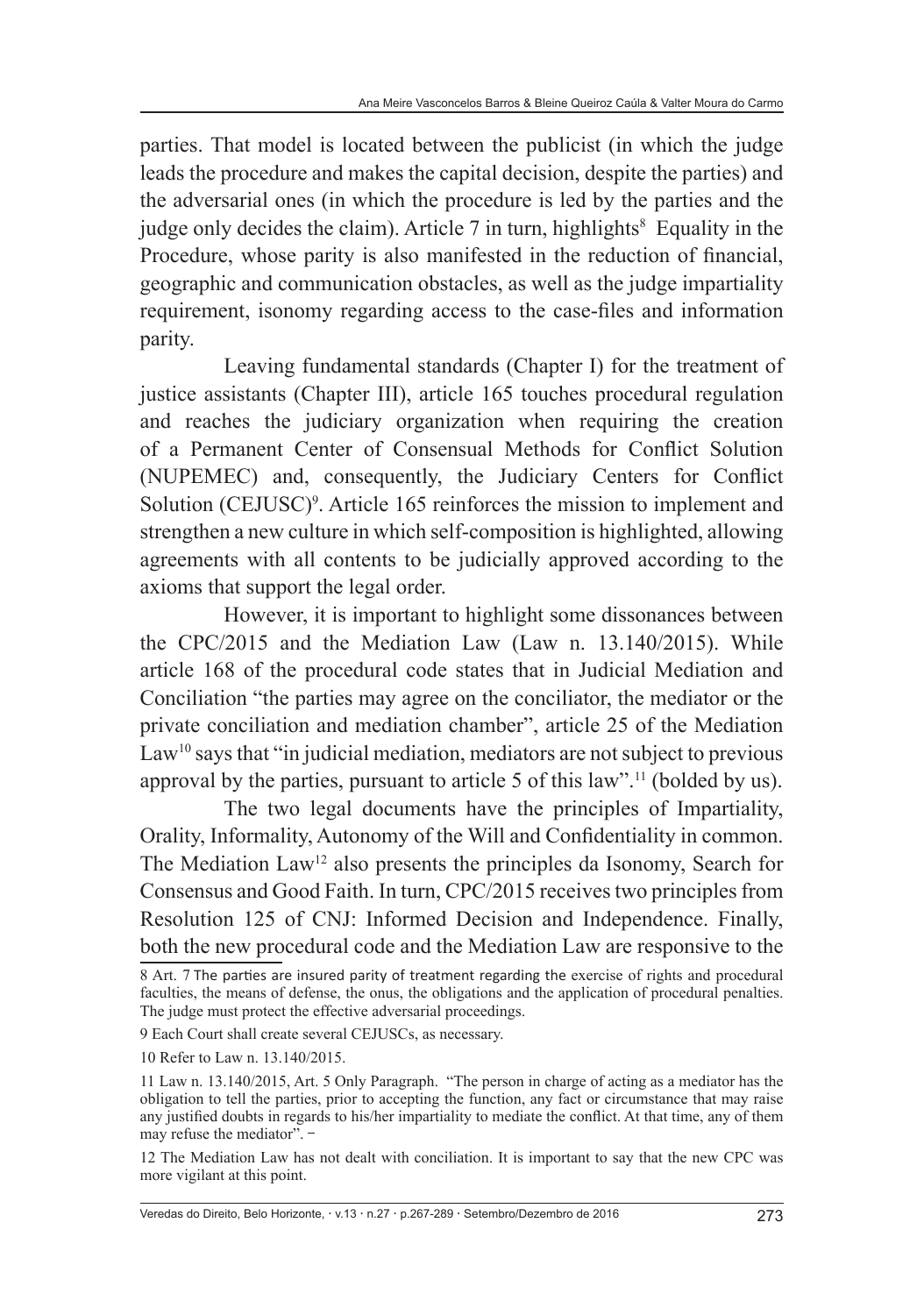parties. That model is located between the publicist (in which the judge leads the procedure and makes the capital decision, despite the parties) and the adversarial ones (in which the procedure is led by the parties and the judge only decides the claim). Article  $7$  in turn, highlights<sup>8</sup> Equality in the Procedure, whose parity is also manifested in the reduction of financial, geographic and communication obstacles, as well as the judge impartiality requirement, isonomy regarding access to the case-files and information parity.

Leaving fundamental standards (Chapter I) for the treatment of justice assistants (Chapter III), article 165 touches procedural regulation and reaches the judiciary organization when requiring the creation of a Permanent Center of Consensual Methods for Conflict Solution (NUPEMEC) and, consequently, the Judiciary Centers for Conflict Solution (CEJUSC)<sup>9</sup>. Article 165 reinforces the mission to implement and strengthen a new culture in which self-composition is highlighted, allowing agreements with all contents to be judicially approved according to the axioms that support the legal order.

However, it is important to highlight some dissonances between the CPC/2015 and the Mediation Law (Law n. 13.140/2015). While article 168 of the procedural code states that in Judicial Mediation and Conciliation "the parties may agree on the conciliator, the mediator or the private conciliation and mediation chamber", article 25 of the Mediation  $Law<sup>10</sup>$  says that "in judicial mediation, mediators are not subject to previous approval by the parties, pursuant to article 5 of this law".11 (bolded by us).

The two legal documents have the principles of Impartiality, Orality, Informality, Autonomy of the Will and Confidentiality in common. The Mediation Law<sup>12</sup> also presents the principles da Isonomy, Search for Consensus and Good Faith. In turn, CPC/2015 receives two principles from Resolution 125 of CNJ: Informed Decision and Independence. Finally, both the new procedural code and the Mediation Law are responsive to the

Veredas do Direito, Belo Horizonte, v.13 n.27 p.267-289 Setembro/Dezembro de 2016 273

<sup>8</sup> Art. 7 The parties are insured parity of treatment regarding the exercise of rights and procedural faculties, the means of defense, the onus, the obligations and the application of procedural penalties. The judge must protect the effective adversarial proceedings.

<sup>9</sup> Each Court shall create several CEJUSCs, as necessary.

<sup>10</sup> Refer to Law n. 13.140/2015.

<sup>11</sup> Law n. 13.140/2015, Art. 5 Only Paragraph. "The person in charge of acting as a mediator has the obligation to tell the parties, prior to accepting the function, any fact or circumstance that may raise any justified doubts in regards to his/her impartiality to mediate the conflict. At that time, any of them may refuse the mediator". -

<sup>12</sup> The Mediation Law has not dealt with conciliation. It is important to say that the new CPC was more vigilant at this point.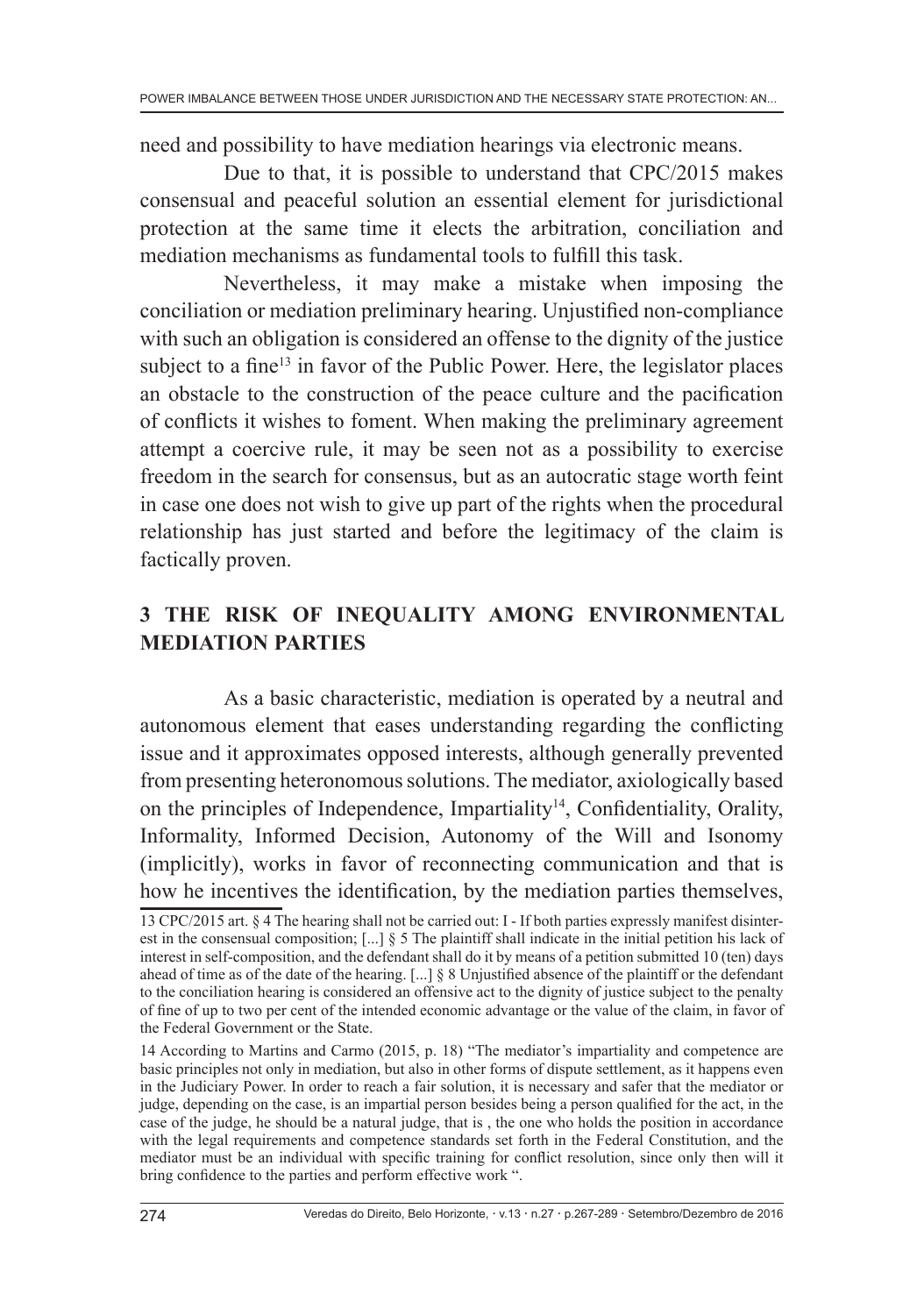need and possibility to have mediation hearings via electronic means.

Due to that, it is possible to understand that CPC/2015 makes consensual and peaceful solution an essential element for jurisdictional protection at the same time it elects the arbitration, conciliation and mediation mechanisms as fundamental tools to fulfill this task.

Nevertheless, it may make a mistake when imposing the conciliation or mediation preliminary hearing. Unjustified non-compliance with such an obligation is considered an offense to the dignity of the justice subject to a fine<sup>13</sup> in favor of the Public Power. Here, the legislator places an obstacle to the construction of the peace culture and the pacification of conflicts it wishes to foment. When making the preliminary agreement attempt a coercive rule, it may be seen not as a possibility to exercise freedom in the search for consensus, but as an autocratic stage worth feint in case one does not wish to give up part of the rights when the procedural relationship has just started and before the legitimacy of the claim is factically proven.

# **3 THE RISK OF INEQUALITY AMONG ENVIRONMENTAL MEDIATION PARTIES**

As a basic characteristic, mediation is operated by a neutral and autonomous element that eases understanding regarding the conflicting issue and it approximates opposed interests, although generally prevented from presenting heteronomous solutions. The mediator, axiologically based on the principles of Independence, Impartiality<sup>14</sup>, Confidentiality, Orality, Informality, Informed Decision, Autonomy of the Will and Isonomy (implicitly), works in favor of reconnecting communication and that is how he incentives the identification, by the mediation parties themselves,

<sup>13</sup> CPC/2015 art. § 4 The hearing shall not be carried out: I - If both parties expressly manifest disinterest in the consensual composition; [...] § 5 The plaintiff shall indicate in the initial petition his lack of interest in self-composition, and the defendant shall do it by means of a petition submitted 10 (ten) days ahead of time as of the date of the hearing. [...] § 8 Unjustified absence of the plaintiff or the defendant to the conciliation hearing is considered an offensive act to the dignity of justice subject to the penalty of fine of up to two per cent of the intended economic advantage or the value of the claim, in favor of the Federal Government or the State.

<sup>14</sup> According to Martins and Carmo (2015, p. 18) "The mediator's impartiality and competence are basic principles not only in mediation, but also in other forms of dispute settlement, as it happens even in the Judiciary Power. In order to reach a fair solution, it is necessary and safer that the mediator or judge, depending on the case, is an impartial person besides being a person qualified for the act, in the case of the judge, he should be a natural judge, that is , the one who holds the position in accordance with the legal requirements and competence standards set forth in the Federal Constitution, and the mediator must be an individual with specific training for conflict resolution, since only then will it bring confidence to the parties and perform effective work ".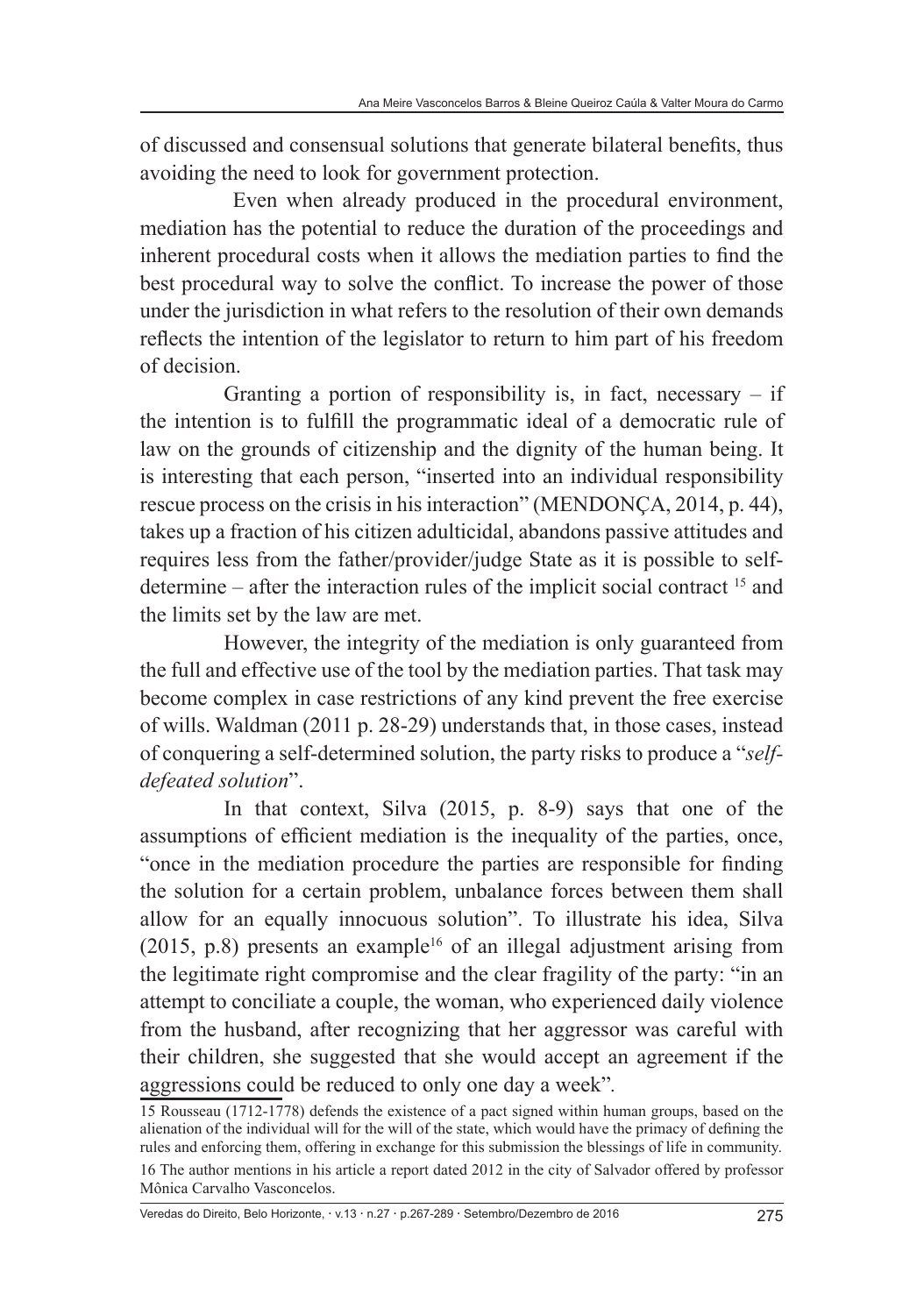of discussed and consensual solutions that generate bilateral benefits, thus avoiding the need to look for government protection.

 Even when already produced in the procedural environment, mediation has the potential to reduce the duration of the proceedings and inherent procedural costs when it allows the mediation parties to find the best procedural way to solve the conflict. To increase the power of those under the jurisdiction in what refers to the resolution of their own demands reflects the intention of the legislator to return to him part of his freedom of decision.

Granting a portion of responsibility is, in fact, necessary  $-$  if the intention is to fulfill the programmatic ideal of a democratic rule of law on the grounds of citizenship and the dignity of the human being. It is interesting that each person, "inserted into an individual responsibility rescue process on the crisis in his interaction" (MENDONÇA, 2014, p. 44), takes up a fraction of his citizen adulticidal, abandons passive attitudes and requires less from the father/provider/judge State as it is possible to selfdetermine – after the interaction rules of the implicit social contract 15 and the limits set by the law are met.

However, the integrity of the mediation is only guaranteed from the full and effective use of the tool by the mediation parties. That task may become complex in case restrictions of any kind prevent the free exercise of wills. Waldman (2011 p. 28-29) understands that, in those cases, instead of conquering a self-determined solution, the party risks to produce a "*selfdefeated solution*".

In that context, Silva (2015, p. 8-9) says that one of the assumptions of efficient mediation is the inequality of the parties, once, "once in the mediation procedure the parties are responsible for finding the solution for a certain problem, unbalance forces between them shall allow for an equally innocuous solution". To illustrate his idea, Silva (2015, p.8) presents an example<sup>16</sup> of an illegal adjustment arising from the legitimate right compromise and the clear fragility of the party: "in an attempt to conciliate a couple, the woman, who experienced daily violence from the husband, after recognizing that her aggressor was careful with their children, she suggested that she would accept an agreement if the aggressions could be reduced to only one day a week"*.*

Veredas do Direito, Belo Horizonte, v.13 n.27 p.267-289 Setembro/Dezembro de 2016 275

<sup>15</sup> Rousseau (1712-1778) defends the existence of a pact signed within human groups, based on the alienation of the individual will for the will of the state, which would have the primacy of defining the rules and enforcing them, offering in exchange for this submission the blessings of life in community.

<sup>16</sup> The author mentions in his article a report dated 2012 in the city of Salvador offered by professor Mônica Carvalho Vasconcelos.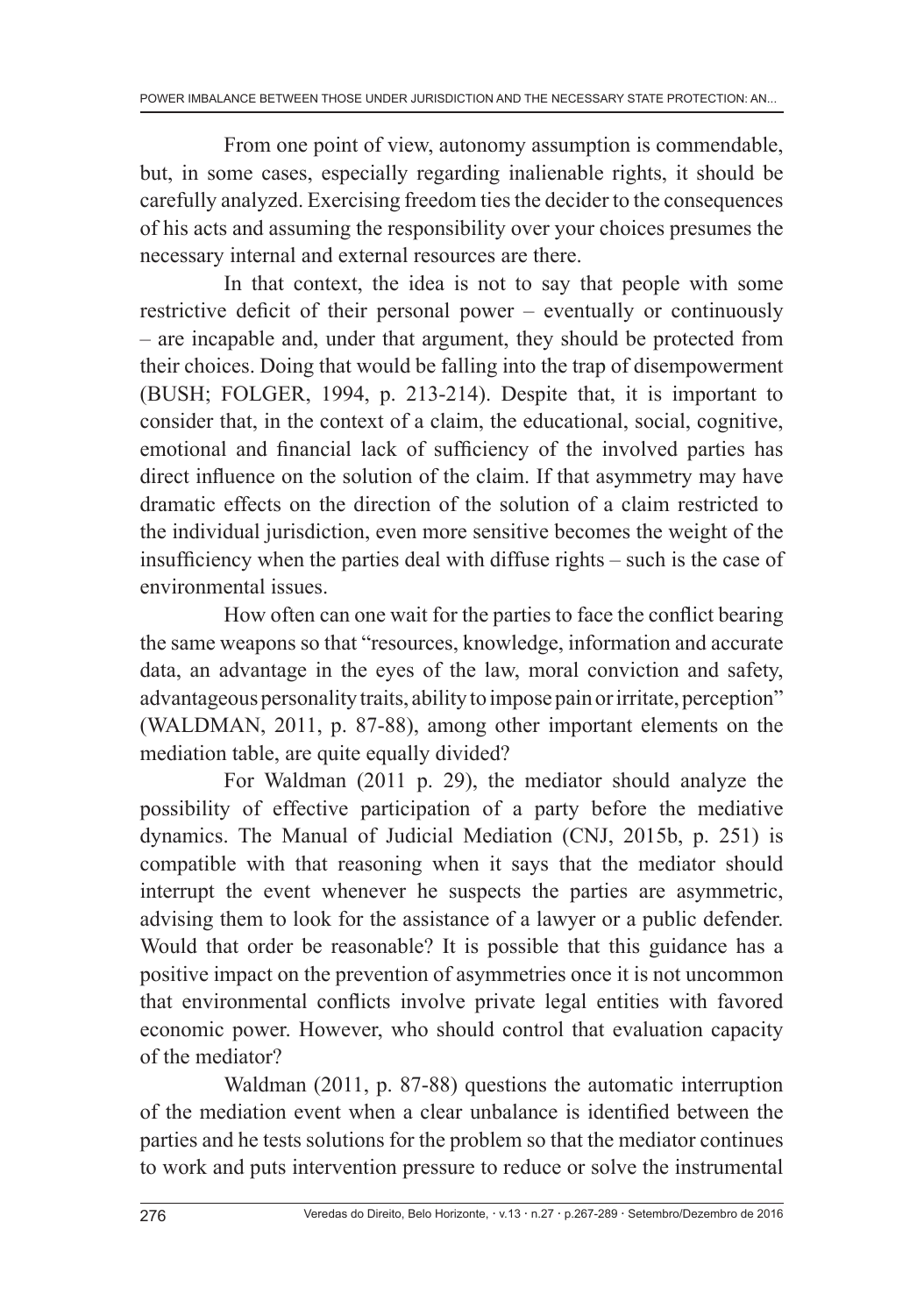From one point of view, autonomy assumption is commendable, but, in some cases, especially regarding inalienable rights, it should be carefully analyzed. Exercising freedom ties the decider to the consequences of his acts and assuming the responsibility over your choices presumes the necessary internal and external resources are there.

In that context, the idea is not to say that people with some restrictive deficit of their personal power – eventually or continuously – are incapable and, under that argument, they should be protected from their choices. Doing that would be falling into the trap of disempowerment (BUSH; FOLGER, 1994, p. 213-214). Despite that, it is important to consider that, in the context of a claim, the educational, social, cognitive, emotional and financial lack of sufficiency of the involved parties has direct influence on the solution of the claim. If that asymmetry may have dramatic effects on the direction of the solution of a claim restricted to the individual jurisdiction, even more sensitive becomes the weight of the insufficiency when the parties deal with diffuse rights – such is the case of environmental issues.

How often can one wait for the parties to face the conflict bearing the same weapons so that "resources, knowledge, information and accurate data, an advantage in the eyes of the law, moral conviction and safety, advantageous personality traits, ability to impose pain or irritate, perception" (WALDMAN, 2011, p. 87-88), among other important elements on the mediation table, are quite equally divided?

For Waldman (2011 p. 29), the mediator should analyze the possibility of effective participation of a party before the mediative dynamics. The Manual of Judicial Mediation (CNJ, 2015b, p. 251) is compatible with that reasoning when it says that the mediator should interrupt the event whenever he suspects the parties are asymmetric, advising them to look for the assistance of a lawyer or a public defender. Would that order be reasonable? It is possible that this guidance has a positive impact on the prevention of asymmetries once it is not uncommon that environmental conflicts involve private legal entities with favored economic power. However, who should control that evaluation capacity of the mediator?

Waldman (2011, p. 87-88) questions the automatic interruption of the mediation event when a clear unbalance is identified between the parties and he tests solutions for the problem so that the mediator continues to work and puts intervention pressure to reduce or solve the instrumental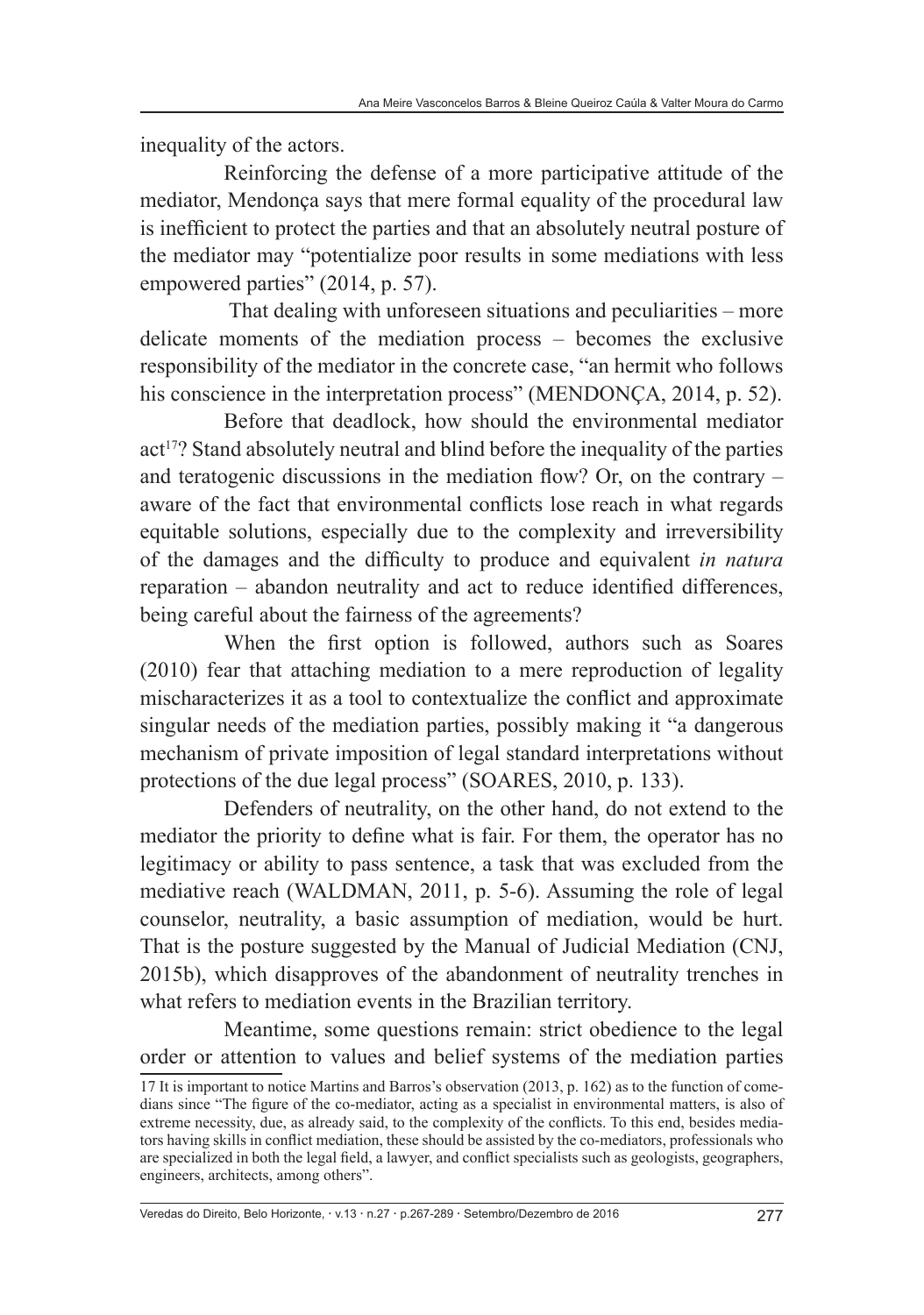inequality of the actors.

Reinforcing the defense of a more participative attitude of the mediator, Mendonça says that mere formal equality of the procedural law is inefficient to protect the parties and that an absolutely neutral posture of the mediator may "potentialize poor results in some mediations with less empowered parties" (2014, p. 57).

 That dealing with unforeseen situations and peculiarities – more delicate moments of the mediation process – becomes the exclusive responsibility of the mediator in the concrete case, "an hermit who follows his conscience in the interpretation process" (MENDONÇA, 2014, p. 52).

Before that deadlock, how should the environmental mediator act<sup>17</sup>? Stand absolutely neutral and blind before the inequality of the parties and teratogenic discussions in the mediation flow? Or, on the contrary – aware of the fact that environmental conflicts lose reach in what regards equitable solutions, especially due to the complexity and irreversibility of the damages and the difficulty to produce and equivalent *in natura* reparation – abandon neutrality and act to reduce identified differences, being careful about the fairness of the agreements?

When the first option is followed, authors such as Soares (2010) fear that attaching mediation to a mere reproduction of legality mischaracterizes it as a tool to contextualize the conflict and approximate singular needs of the mediation parties, possibly making it "a dangerous mechanism of private imposition of legal standard interpretations without protections of the due legal process" (SOARES, 2010, p. 133).

Defenders of neutrality, on the other hand, do not extend to the mediator the priority to define what is fair. For them, the operator has no legitimacy or ability to pass sentence, a task that was excluded from the mediative reach (WALDMAN, 2011, p. 5-6). Assuming the role of legal counselor, neutrality, a basic assumption of mediation, would be hurt. That is the posture suggested by the Manual of Judicial Mediation (CNJ, 2015b), which disapproves of the abandonment of neutrality trenches in what refers to mediation events in the Brazilian territory.

Meantime, some questions remain: strict obedience to the legal order or attention to values and belief systems of the mediation parties

Veredas do Direito, Belo Horizonte, v.13 n.27 p.267-289 Setembro/Dezembro de 2016 277

<sup>17</sup> It is important to notice Martins and Barros's observation (2013, p. 162) as to the function of comedians since "The figure of the co-mediator, acting as a specialist in environmental matters, is also of extreme necessity, due, as already said, to the complexity of the conflicts. To this end, besides mediators having skills in conflict mediation, these should be assisted by the co-mediators, professionals who are specialized in both the legal field, a lawyer, and conflict specialists such as geologists, geographers, engineers, architects, among others".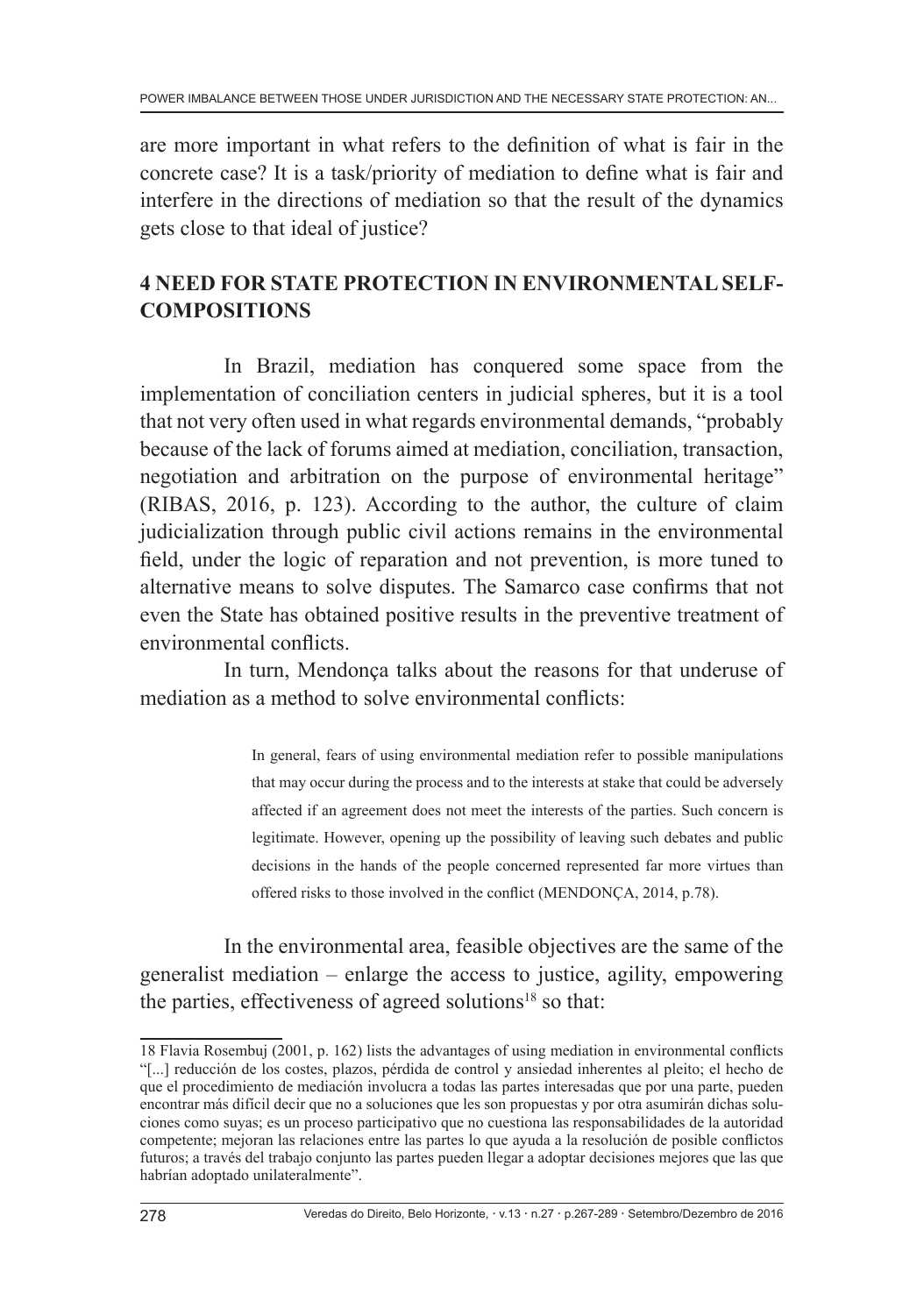are more important in what refers to the definition of what is fair in the concrete case? It is a task/priority of mediation to define what is fair and interfere in the directions of mediation so that the result of the dynamics gets close to that ideal of justice?

# **4 NEED FOR STATE PROTECTION IN ENVIRONMENTAL SELF-COMPOSITIONS**

In Brazil, mediation has conquered some space from the implementation of conciliation centers in judicial spheres, but it is a tool that not very often used in what regards environmental demands, "probably because of the lack of forums aimed at mediation, conciliation, transaction, negotiation and arbitration on the purpose of environmental heritage" (RIBAS, 2016, p. 123). According to the author, the culture of claim judicialization through public civil actions remains in the environmental field, under the logic of reparation and not prevention, is more tuned to alternative means to solve disputes. The Samarco case confirms that not even the State has obtained positive results in the preventive treatment of environmental conflicts.

In turn, Mendonça talks about the reasons for that underuse of mediation as a method to solve environmental conflicts:

> In general, fears of using environmental mediation refer to possible manipulations that may occur during the process and to the interests at stake that could be adversely affected if an agreement does not meet the interests of the parties. Such concern is legitimate. However, opening up the possibility of leaving such debates and public decisions in the hands of the people concerned represented far more virtues than offered risks to those involved in the conflict (MENDONÇA, 2014, p.78).

In the environmental area, feasible objectives are the same of the generalist mediation – enlarge the access to justice, agility, empowering the parties, effectiveness of agreed solutions<sup>18</sup> so that:

<sup>18</sup> Flavia Rosembuj (2001, p. 162) lists the advantages of using mediation in environmental conflicts "[...] reducción de los costes, plazos, pérdida de control y ansiedad inherentes al pleito; el hecho de que el procedimiento de mediación involucra a todas las partes interesadas que por una parte, pueden encontrar más difícil decir que no a soluciones que les son propuestas y por otra asumirán dichas soluciones como suyas; es un proceso participativo que no cuestiona las responsabilidades de la autoridad competente; mejoran las relaciones entre las partes lo que ayuda a la resolución de posible conflictos futuros; a través del trabajo conjunto las partes pueden llegar a adoptar decisiones mejores que las que habrían adoptado unilateralmente".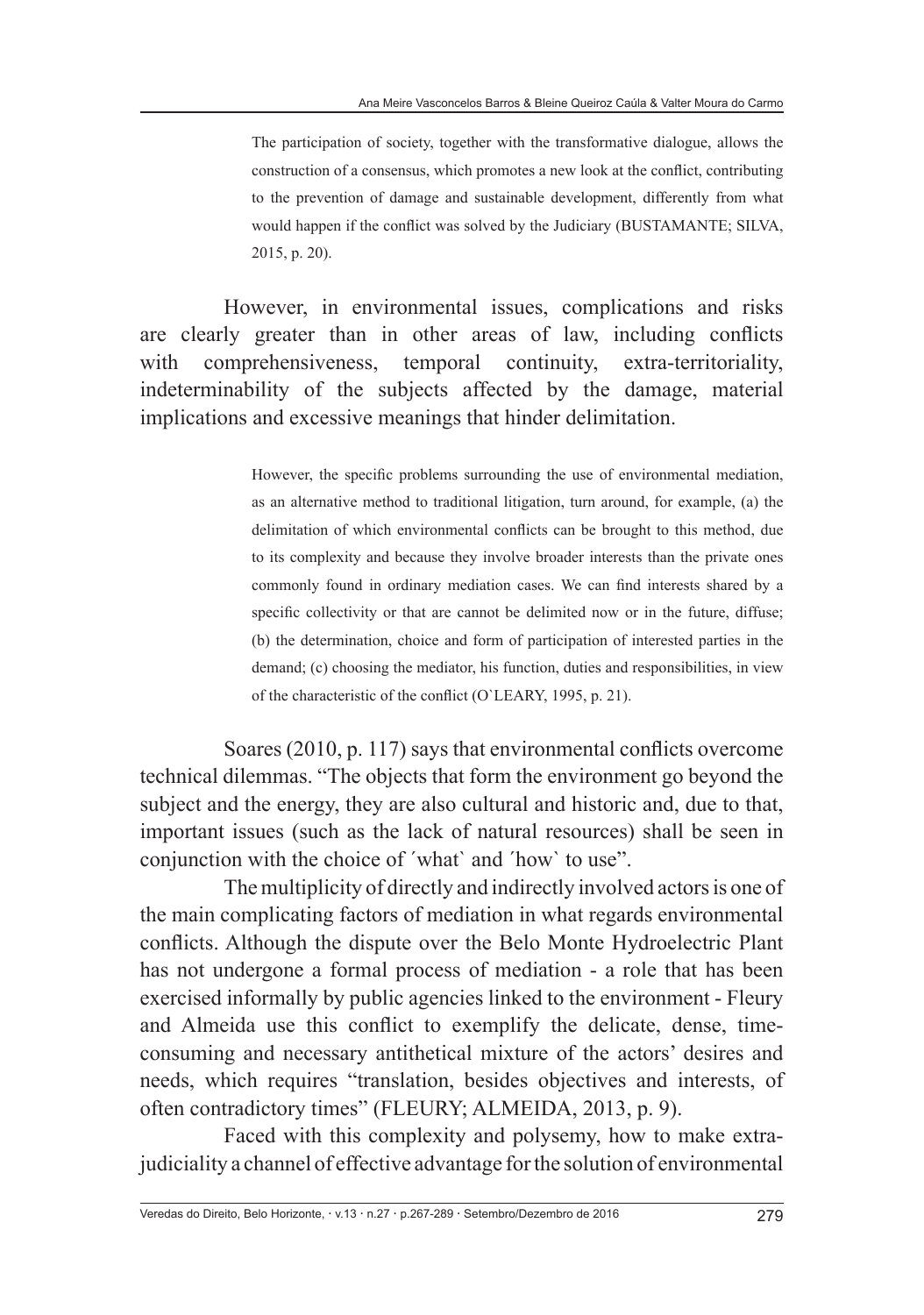The participation of society, together with the transformative dialogue, allows the construction of a consensus, which promotes a new look at the conflict, contributing to the prevention of damage and sustainable development, differently from what would happen if the conflict was solved by the Judiciary (BUSTAMANTE; SILVA, 2015, p. 20).

However, in environmental issues, complications and risks are clearly greater than in other areas of law, including conflicts with comprehensiveness, temporal continuity, extra-territoriality, indeterminability of the subjects affected by the damage, material implications and excessive meanings that hinder delimitation.

> However, the specific problems surrounding the use of environmental mediation, as an alternative method to traditional litigation, turn around, for example, (a) the delimitation of which environmental conflicts can be brought to this method, due to its complexity and because they involve broader interests than the private ones commonly found in ordinary mediation cases. We can find interests shared by a specific collectivity or that are cannot be delimited now or in the future, diffuse; (b) the determination, choice and form of participation of interested parties in the demand; (c) choosing the mediator, his function, duties and responsibilities, in view of the characteristic of the conflict (O`LEARY, 1995, p. 21).

Soares (2010, p. 117) says that environmental conflicts overcome technical dilemmas. "The objects that form the environment go beyond the subject and the energy, they are also cultural and historic and, due to that, important issues (such as the lack of natural resources) shall be seen in conjunction with the choice of ´what` and ´how` to use".

The multiplicity of directly and indirectly involved actors is one of the main complicating factors of mediation in what regards environmental conflicts. Although the dispute over the Belo Monte Hydroelectric Plant has not undergone a formal process of mediation - a role that has been exercised informally by public agencies linked to the environment - Fleury and Almeida use this conflict to exemplify the delicate, dense, timeconsuming and necessary antithetical mixture of the actors' desires and needs, which requires "translation, besides objectives and interests, of often contradictory times" (FLEURY; ALMEIDA, 2013, p. 9).

Faced with this complexity and polysemy, how to make extrajudiciality a channel of effective advantage for the solution of environmental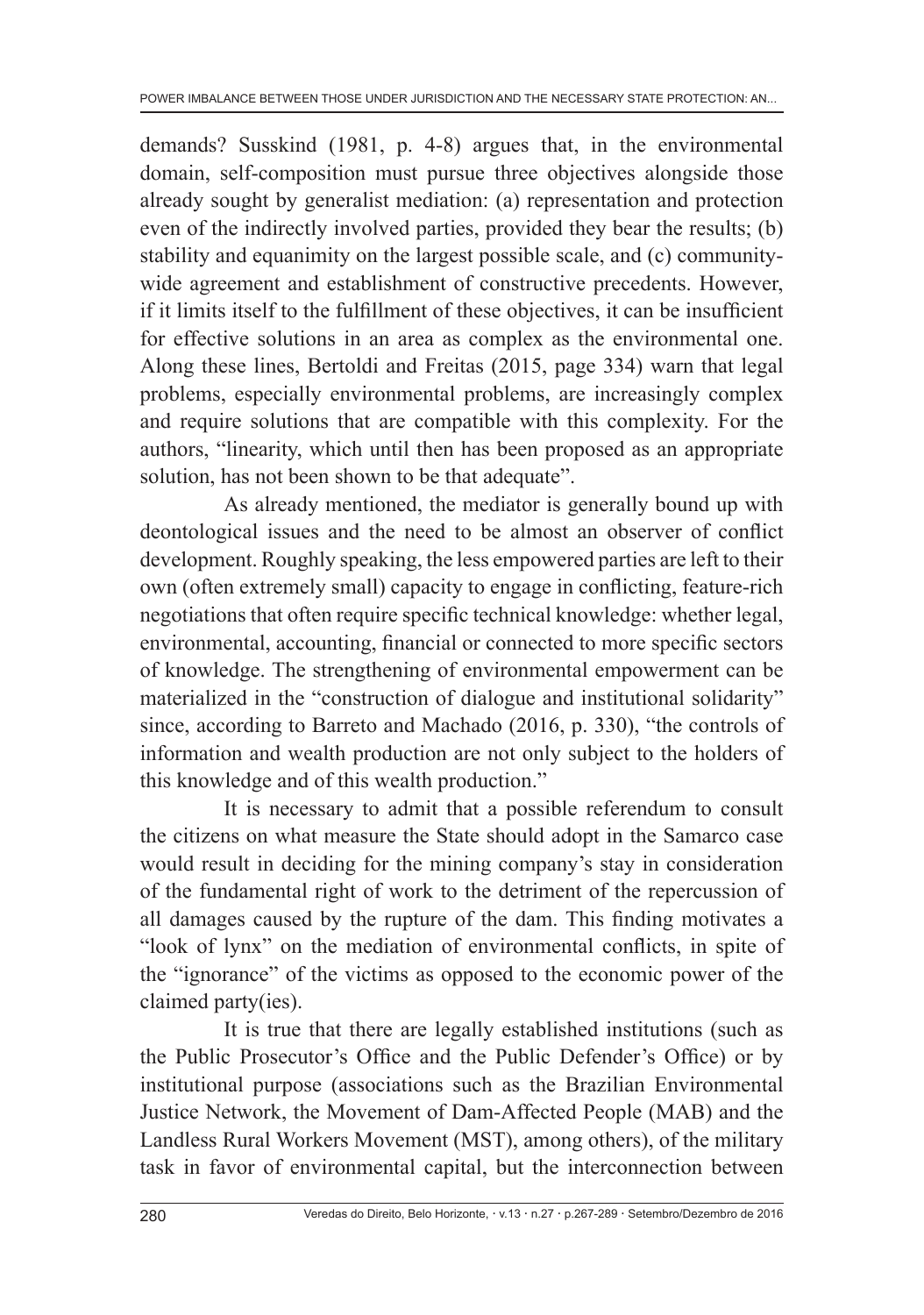demands? Susskind (1981, p. 4-8) argues that, in the environmental domain, self-composition must pursue three objectives alongside those already sought by generalist mediation: (a) representation and protection even of the indirectly involved parties, provided they bear the results; (b) stability and equanimity on the largest possible scale, and (c) communitywide agreement and establishment of constructive precedents. However, if it limits itself to the fulfillment of these objectives, it can be insufficient for effective solutions in an area as complex as the environmental one. Along these lines, Bertoldi and Freitas (2015, page 334) warn that legal problems, especially environmental problems, are increasingly complex and require solutions that are compatible with this complexity. For the authors, "linearity, which until then has been proposed as an appropriate solution, has not been shown to be that adequate".

As already mentioned, the mediator is generally bound up with deontological issues and the need to be almost an observer of conflict development. Roughly speaking, the less empowered parties are left to their own (often extremely small) capacity to engage in conflicting, feature-rich negotiations that often require specific technical knowledge: whether legal, environmental, accounting, financial or connected to more specific sectors of knowledge. The strengthening of environmental empowerment can be materialized in the "construction of dialogue and institutional solidarity" since, according to Barreto and Machado (2016, p. 330), "the controls of information and wealth production are not only subject to the holders of this knowledge and of this wealth production."

It is necessary to admit that a possible referendum to consult the citizens on what measure the State should adopt in the Samarco case would result in deciding for the mining company's stay in consideration of the fundamental right of work to the detriment of the repercussion of all damages caused by the rupture of the dam. This finding motivates a "look of lynx" on the mediation of environmental conflicts, in spite of the "ignorance" of the victims as opposed to the economic power of the claimed party(ies).

It is true that there are legally established institutions (such as the Public Prosecutor's Office and the Public Defender's Office) or by institutional purpose (associations such as the Brazilian Environmental Justice Network, the Movement of Dam-Affected People (MAB) and the Landless Rural Workers Movement (MST), among others), of the military task in favor of environmental capital, but the interconnection between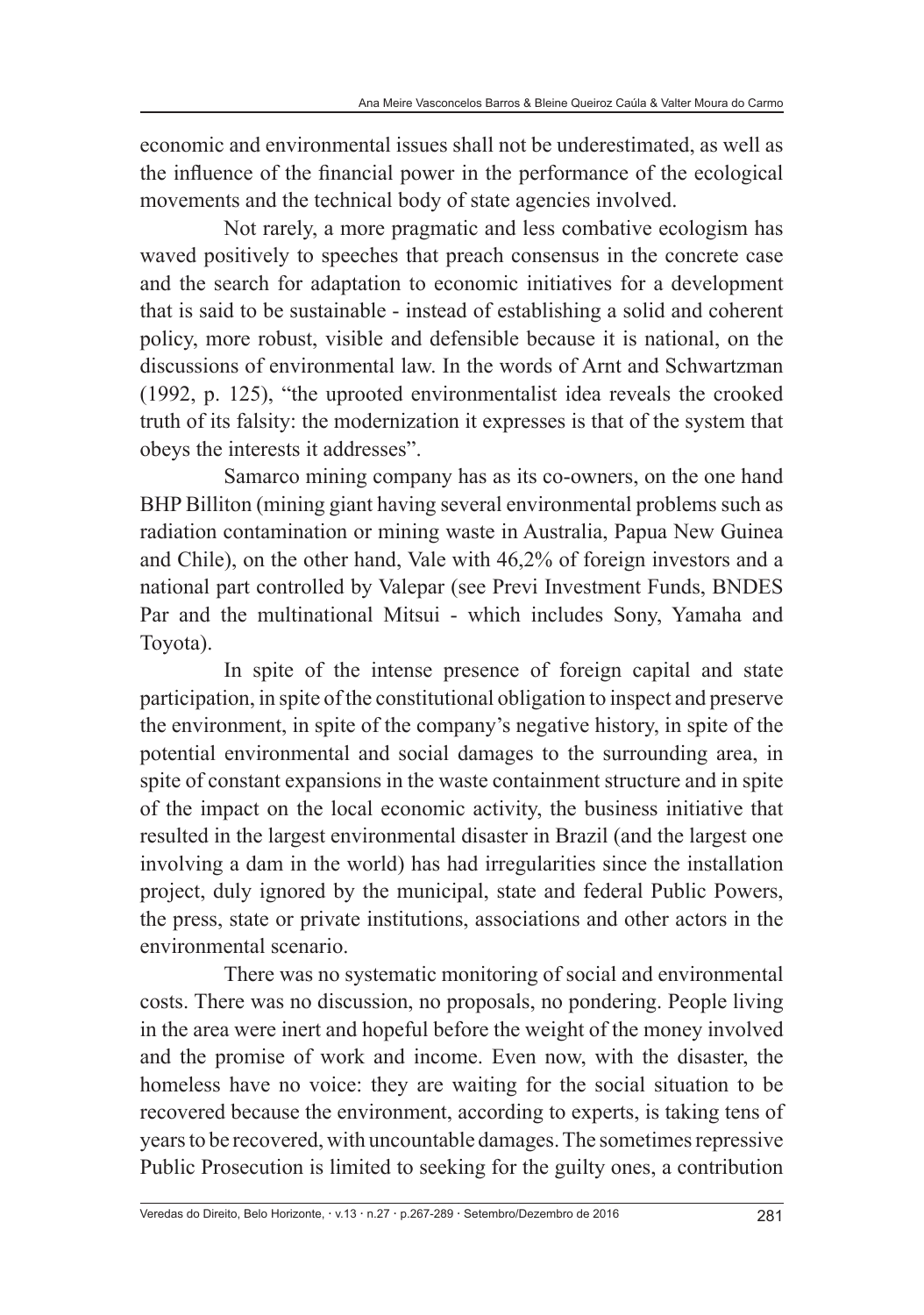economic and environmental issues shall not be underestimated, as well as the influence of the financial power in the performance of the ecological movements and the technical body of state agencies involved.

Not rarely, a more pragmatic and less combative ecologism has waved positively to speeches that preach consensus in the concrete case and the search for adaptation to economic initiatives for a development that is said to be sustainable - instead of establishing a solid and coherent policy, more robust, visible and defensible because it is national, on the discussions of environmental law. In the words of Arnt and Schwartzman (1992, p. 125), "the uprooted environmentalist idea reveals the crooked truth of its falsity: the modernization it expresses is that of the system that obeys the interests it addresses".

Samarco mining company has as its co-owners, on the one hand BHP Billiton (mining giant having several environmental problems such as radiation contamination or mining waste in Australia, Papua New Guinea and Chile), on the other hand, Vale with 46,2% of foreign investors and a national part controlled by Valepar (see Previ Investment Funds, BNDES Par and the multinational Mitsui - which includes Sony, Yamaha and Toyota).

In spite of the intense presence of foreign capital and state participation, in spite of the constitutional obligation to inspect and preserve the environment, in spite of the company's negative history, in spite of the potential environmental and social damages to the surrounding area, in spite of constant expansions in the waste containment structure and in spite of the impact on the local economic activity, the business initiative that resulted in the largest environmental disaster in Brazil (and the largest one involving a dam in the world) has had irregularities since the installation project, duly ignored by the municipal, state and federal Public Powers, the press, state or private institutions, associations and other actors in the environmental scenario.

There was no systematic monitoring of social and environmental costs. There was no discussion, no proposals, no pondering. People living in the area were inert and hopeful before the weight of the money involved and the promise of work and income. Even now, with the disaster, the homeless have no voice: they are waiting for the social situation to be recovered because the environment, according to experts, is taking tens of years to be recovered, with uncountable damages. The sometimes repressive Public Prosecution is limited to seeking for the guilty ones, a contribution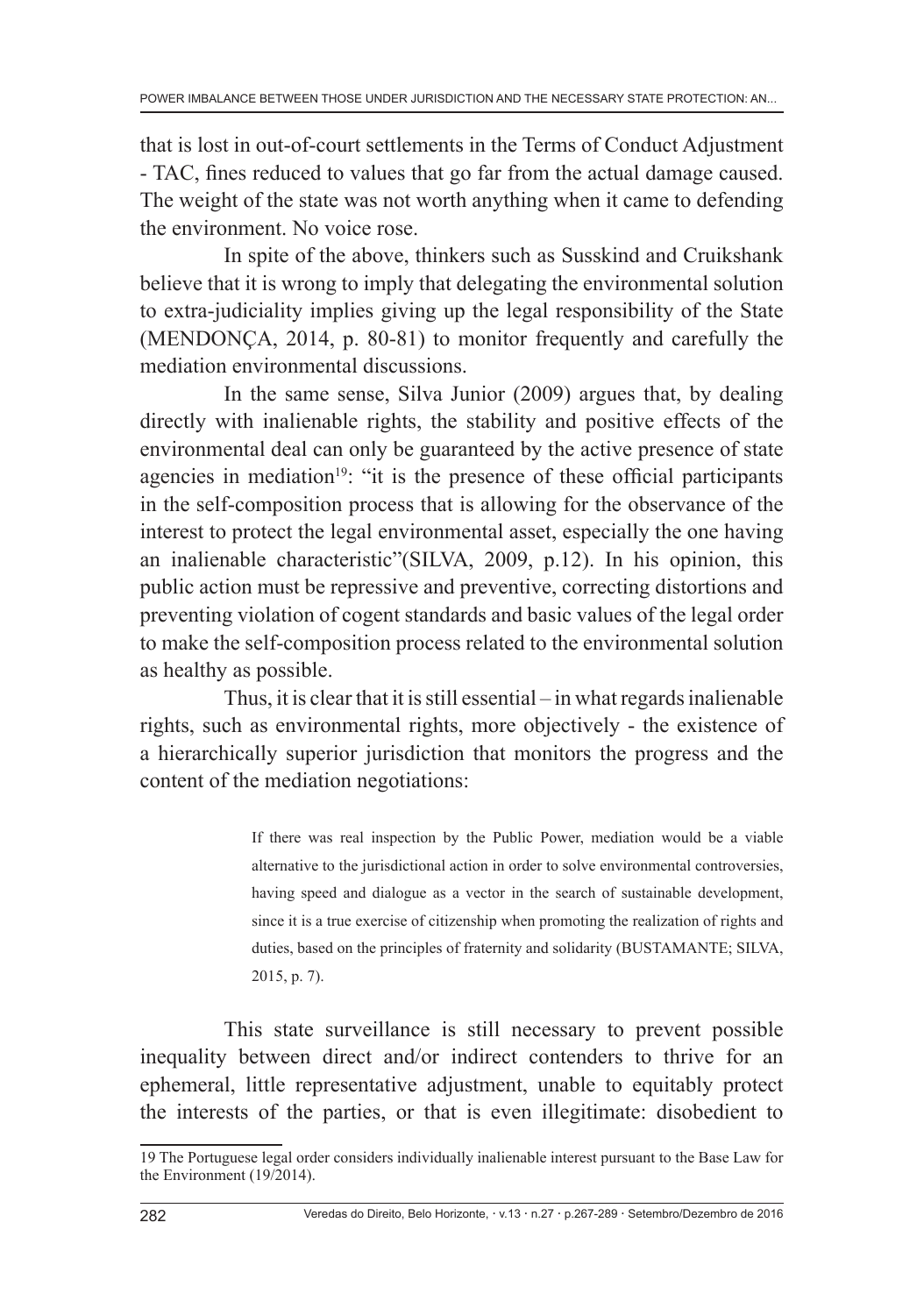that is lost in out-of-court settlements in the Terms of Conduct Adjustment - TAC, fines reduced to values that go far from the actual damage caused. The weight of the state was not worth anything when it came to defending the environment. No voice rose.

In spite of the above, thinkers such as Susskind and Cruikshank believe that it is wrong to imply that delegating the environmental solution to extra-judiciality implies giving up the legal responsibility of the State (MENDONÇA, 2014, p. 80-81) to monitor frequently and carefully the mediation environmental discussions.

In the same sense, Silva Junior (2009) argues that, by dealing directly with inalienable rights, the stability and positive effects of the environmental deal can only be guaranteed by the active presence of state agencies in mediation<sup>19</sup>: "it is the presence of these official participants in the self-composition process that is allowing for the observance of the interest to protect the legal environmental asset, especially the one having an inalienable characteristic"(SILVA, 2009, p.12). In his opinion, this public action must be repressive and preventive, correcting distortions and preventing violation of cogent standards and basic values of the legal order to make the self-composition process related to the environmental solution as healthy as possible.

Thus, it is clear that it is still essential – in what regards inalienable rights, such as environmental rights, more objectively - the existence of a hierarchically superior jurisdiction that monitors the progress and the content of the mediation negotiations:

> If there was real inspection by the Public Power, mediation would be a viable alternative to the jurisdictional action in order to solve environmental controversies, having speed and dialogue as a vector in the search of sustainable development, since it is a true exercise of citizenship when promoting the realization of rights and duties, based on the principles of fraternity and solidarity (BUSTAMANTE; SILVA, 2015, p. 7).

This state surveillance is still necessary to prevent possible inequality between direct and/or indirect contenders to thrive for an ephemeral, little representative adjustment, unable to equitably protect the interests of the parties, or that is even illegitimate: disobedient to

<sup>19</sup> The Portuguese legal order considers individually inalienable interest pursuant to the Base Law for the Environment (19/2014).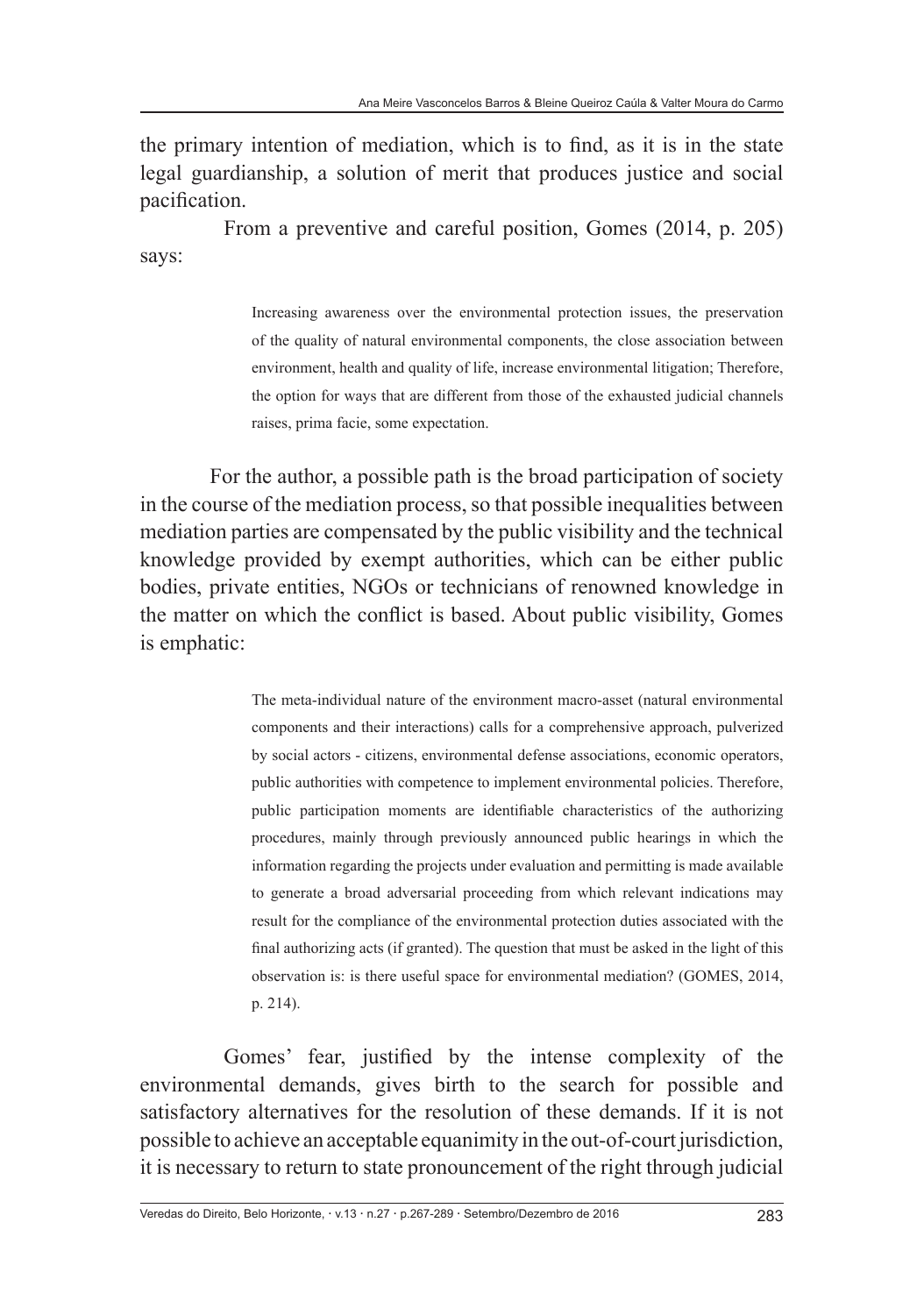the primary intention of mediation, which is to find, as it is in the state legal guardianship, a solution of merit that produces justice and social pacification.

From a preventive and careful position, Gomes (2014, p. 205) says:

> Increasing awareness over the environmental protection issues, the preservation of the quality of natural environmental components, the close association between environment, health and quality of life, increase environmental litigation; Therefore, the option for ways that are different from those of the exhausted judicial channels raises, prima facie, some expectation.

For the author, a possible path is the broad participation of society in the course of the mediation process, so that possible inequalities between mediation parties are compensated by the public visibility and the technical knowledge provided by exempt authorities, which can be either public bodies, private entities, NGOs or technicians of renowned knowledge in the matter on which the conflict is based. About public visibility, Gomes is emphatic:

> The meta-individual nature of the environment macro-asset (natural environmental components and their interactions) calls for a comprehensive approach, pulverized by social actors - citizens, environmental defense associations, economic operators, public authorities with competence to implement environmental policies. Therefore, public participation moments are identifiable characteristics of the authorizing procedures, mainly through previously announced public hearings in which the information regarding the projects under evaluation and permitting is made available to generate a broad adversarial proceeding from which relevant indications may result for the compliance of the environmental protection duties associated with the final authorizing acts (if granted). The question that must be asked in the light of this observation is: is there useful space for environmental mediation? (GOMES, 2014, p. 214).

Gomes' fear, justified by the intense complexity of the environmental demands, gives birth to the search for possible and satisfactory alternatives for the resolution of these demands. If it is not possible to achieve an acceptable equanimity in the out-of-court jurisdiction, it is necessary to return to state pronouncement of the right through judicial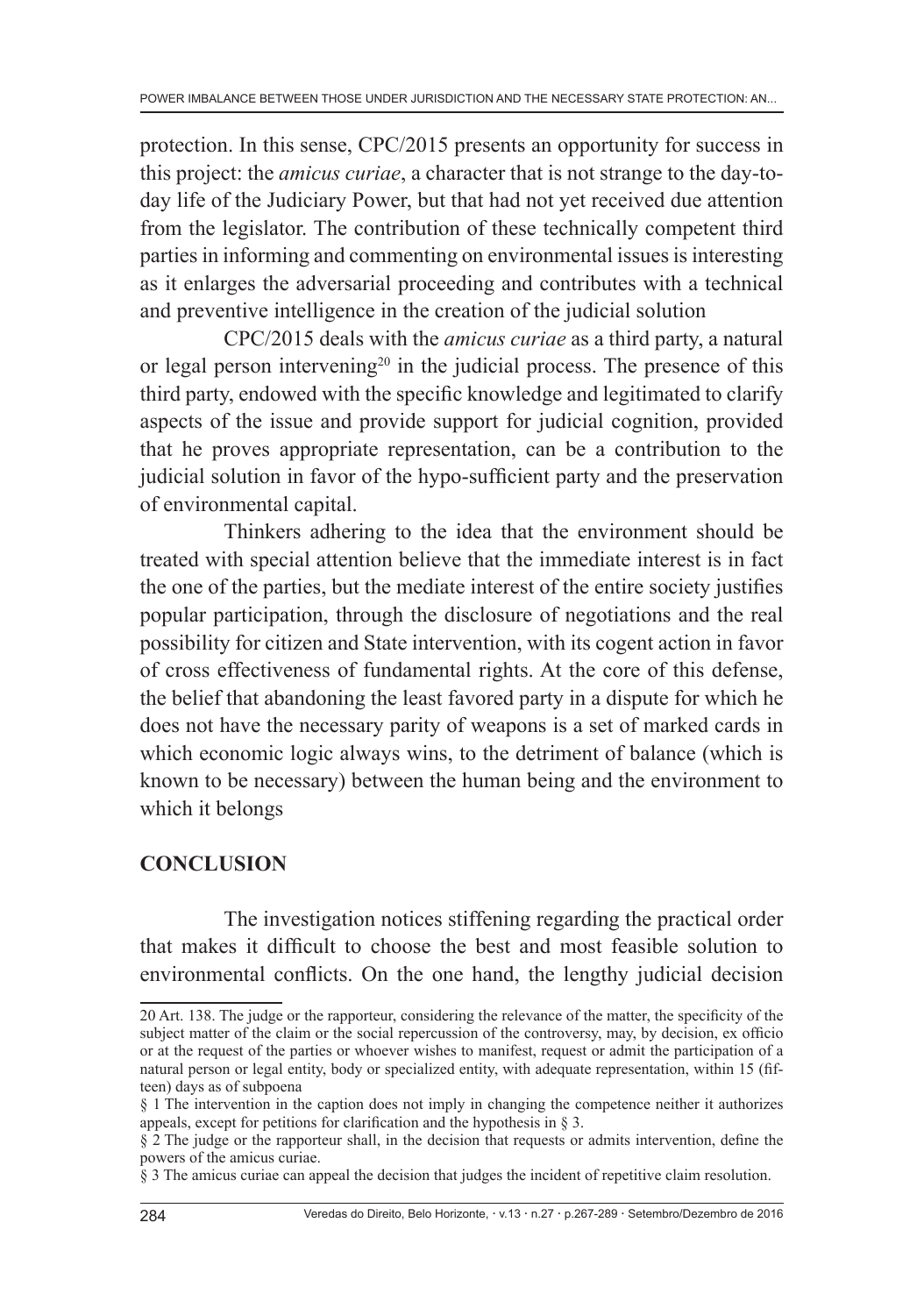protection. In this sense, CPC/2015 presents an opportunity for success in this project: the *amicus curiae*, a character that is not strange to the day-today life of the Judiciary Power, but that had not yet received due attention from the legislator. The contribution of these technically competent third parties in informing and commenting on environmental issues is interesting as it enlarges the adversarial proceeding and contributes with a technical and preventive intelligence in the creation of the judicial solution

CPC/2015 deals with the *amicus curiae* as a third party, a natural or legal person intervening<sup>20</sup> in the judicial process. The presence of this third party, endowed with the specific knowledge and legitimated to clarify aspects of the issue and provide support for judicial cognition, provided that he proves appropriate representation, can be a contribution to the judicial solution in favor of the hypo-sufficient party and the preservation of environmental capital.

Thinkers adhering to the idea that the environment should be treated with special attention believe that the immediate interest is in fact the one of the parties, but the mediate interest of the entire society justifies popular participation, through the disclosure of negotiations and the real possibility for citizen and State intervention, with its cogent action in favor of cross effectiveness of fundamental rights. At the core of this defense, the belief that abandoning the least favored party in a dispute for which he does not have the necessary parity of weapons is a set of marked cards in which economic logic always wins, to the detriment of balance (which is known to be necessary) between the human being and the environment to which it belongs

# **CONCLUSION**

The investigation notices stiffening regarding the practical order that makes it difficult to choose the best and most feasible solution to environmental conflicts. On the one hand, the lengthy judicial decision

<sup>20</sup> Art. 138. The judge or the rapporteur, considering the relevance of the matter, the specificity of the subject matter of the claim or the social repercussion of the controversy, may, by decision, ex officio or at the request of the parties or whoever wishes to manifest, request or admit the participation of a natural person or legal entity, body or specialized entity, with adequate representation, within 15 (fifteen) days as of subpoena

<sup>§ 1</sup> The intervention in the caption does not imply in changing the competence neither it authorizes appeals, except for petitions for clarification and the hypothesis in § 3.

<sup>§ 2</sup> The judge or the rapporteur shall, in the decision that requests or admits intervention, define the powers of the amicus curiae.

<sup>§ 3</sup> The amicus curiae can appeal the decision that judges the incident of repetitive claim resolution.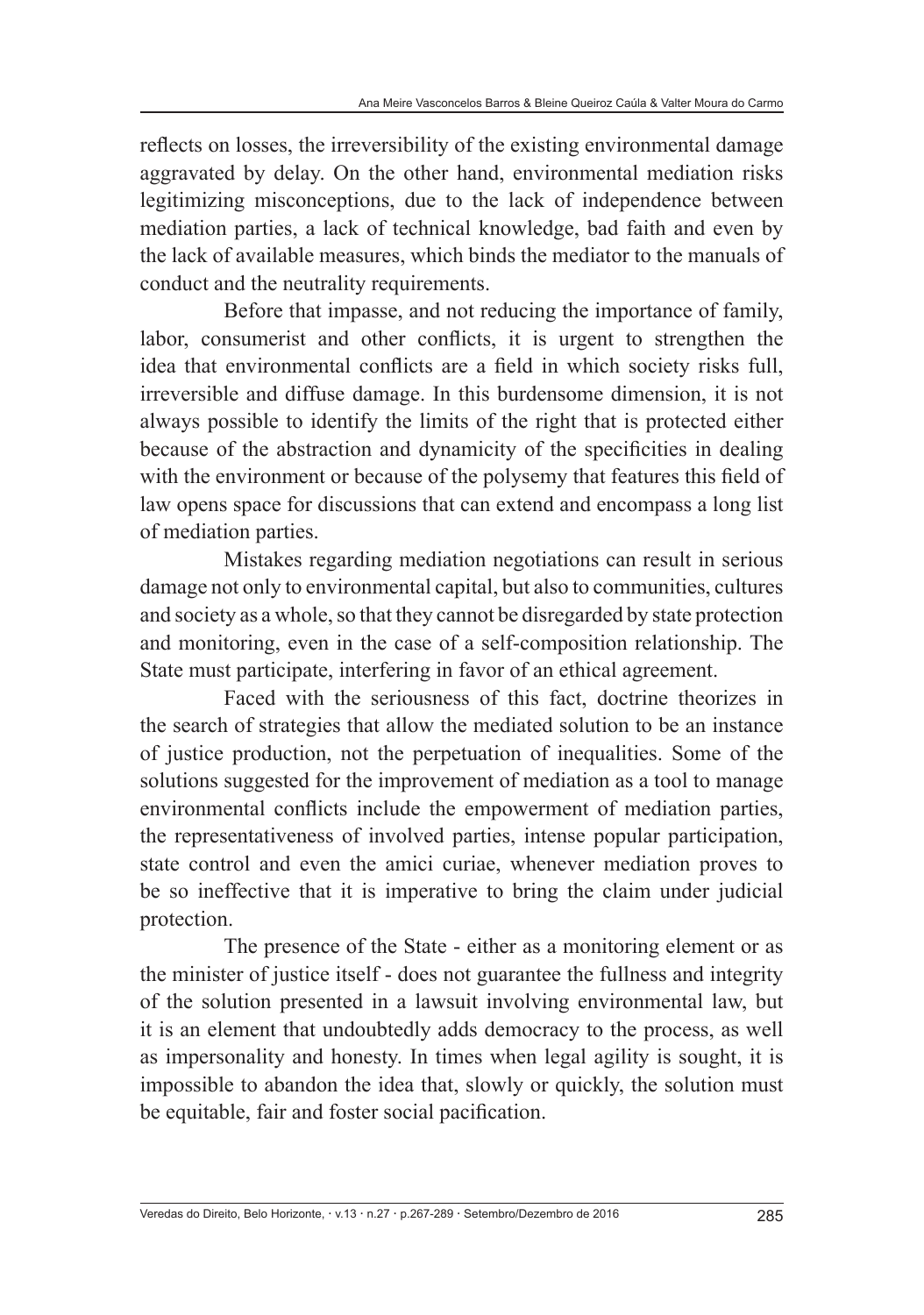reflects on losses, the irreversibility of the existing environmental damage aggravated by delay. On the other hand, environmental mediation risks legitimizing misconceptions, due to the lack of independence between mediation parties, a lack of technical knowledge, bad faith and even by the lack of available measures, which binds the mediator to the manuals of conduct and the neutrality requirements.

Before that impasse, and not reducing the importance of family, labor, consumerist and other conflicts, it is urgent to strengthen the idea that environmental conflicts are a field in which society risks full, irreversible and diffuse damage. In this burdensome dimension, it is not always possible to identify the limits of the right that is protected either because of the abstraction and dynamicity of the specificities in dealing with the environment or because of the polysemy that features this field of law opens space for discussions that can extend and encompass a long list of mediation parties.

Mistakes regarding mediation negotiations can result in serious damage not only to environmental capital, but also to communities, cultures and society as a whole, so that they cannot be disregarded by state protection and monitoring, even in the case of a self-composition relationship. The State must participate, interfering in favor of an ethical agreement.

Faced with the seriousness of this fact, doctrine theorizes in the search of strategies that allow the mediated solution to be an instance of justice production, not the perpetuation of inequalities. Some of the solutions suggested for the improvement of mediation as a tool to manage environmental conflicts include the empowerment of mediation parties, the representativeness of involved parties, intense popular participation, state control and even the amici curiae, whenever mediation proves to be so ineffective that it is imperative to bring the claim under judicial protection.

The presence of the State - either as a monitoring element or as the minister of justice itself - does not guarantee the fullness and integrity of the solution presented in a lawsuit involving environmental law, but it is an element that undoubtedly adds democracy to the process, as well as impersonality and honesty. In times when legal agility is sought, it is impossible to abandon the idea that, slowly or quickly, the solution must be equitable, fair and foster social pacification.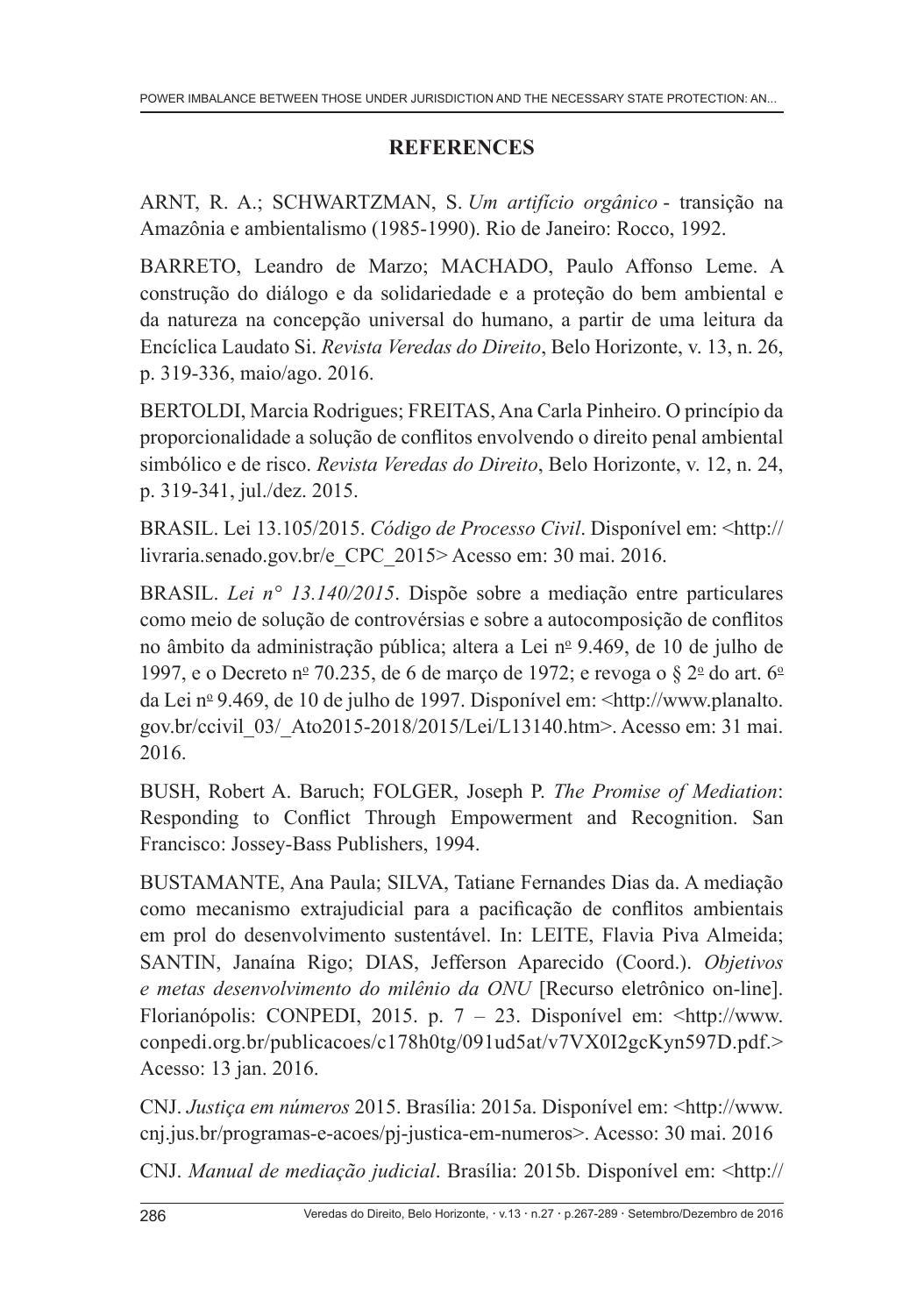# **REFERENCES**

ARNT, R. A.; SCHWARTZMAN, S. *Um artifício orgânico* - transição na Amazônia e ambientalismo (1985-1990). Rio de Janeiro: Rocco, 1992.

BARRETO, Leandro de Marzo; MACHADO, Paulo Affonso Leme. A construção do diálogo e da solidariedade e a proteção do bem ambiental e da natureza na concepção universal do humano, a partir de uma leitura da Encíclica Laudato Si. *Revista Veredas do Direito*, Belo Horizonte, v. 13, n. 26, p. 319-336, maio/ago. 2016.

BERTOLDI, Marcia Rodrigues; FREITAS, Ana Carla Pinheiro. O princípio da proporcionalidade a solução de conflitos envolvendo o direito penal ambiental simbólico e de risco. *Revista Veredas do Direito*, Belo Horizonte, v. 12, n. 24, p. 319-341, jul./dez. 2015.

BRASIL. Lei 13.105/2015. *Código de Processo Civil*. Disponível em: <http:// livraria.senado.gov.br/e\_CPC\_2015> Acesso em: 30 mai. 2016.

BRASIL. *Lei n° 13.140/2015*. Dispõe sobre a mediação entre particulares como meio de solução de controvérsias e sobre a autocomposição de conflitos no âmbito da administração pública; altera a Lei nº 9.469, de 10 de julho de 1997, e o Decreto nº 70.235, de 6 de março de 1972; e revoga o  $\S 2^{\circ}$  do art. 6º da Lei nº 9.469, de 10 de julho de 1997. Disponível em: <http://www.planalto. gov.br/ccivil\_03/\_Ato2015-2018/2015/Lei/L13140.htm>. Acesso em: 31 mai. 2016.

BUSH, Robert A. Baruch; FOLGER, Joseph P. *The Promise of Mediation*: Responding to Conflict Through Empowerment and Recognition. San Francisco: Jossey-Bass Publishers, 1994.

BUSTAMANTE, Ana Paula; SILVA, Tatiane Fernandes Dias da. A mediação como mecanismo extrajudicial para a pacificação de conflitos ambientais em prol do desenvolvimento sustentável. In: LEITE, Flavia Piva Almeida; SANTIN, Janaína Rigo; DIAS, Jefferson Aparecido (Coord.). *Objetivos e metas desenvolvimento do milênio da ONU* [Recurso eletrônico on-line]. Florianópolis: CONPEDI, 2015. p. 7 – 23. Disponível em: <http://www. conpedi.org.br/publicacoes/c178h0tg/091ud5at/v7VX0I2gcKyn597D.pdf.> Acesso: 13 jan. 2016.

CNJ. *Justiça em números* 2015. Brasília: 2015a. Disponível em: <http://www. cnj.jus.br/programas-e-acoes/pj-justica-em-numeros>. Acesso: 30 mai. 2016

CNJ. *Manual de mediação judicial*. Brasília: 2015b. Disponível em: <http://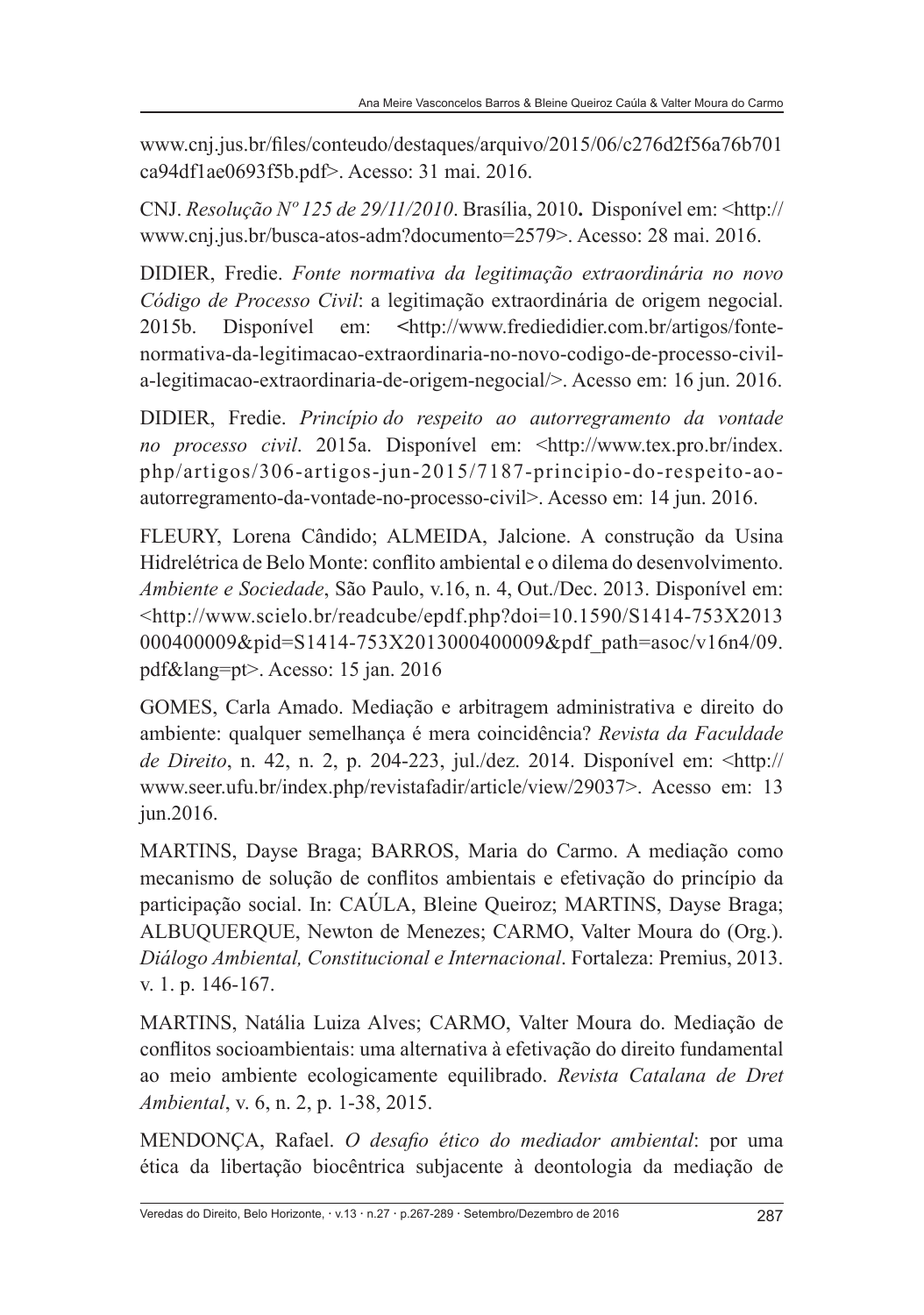www.cnj.jus.br/files/conteudo/destaques/arquivo/2015/06/c276d2f56a76b701 ca94df1ae0693f5b.pdf>. Acesso: 31 mai. 2016.

CNJ. *Resolução Nº 125 de 29/11/2010*. Brasília, 2010**.** Disponível em: <http:// www.cnj.jus.br/busca-atos-adm?documento=2579>. Acesso: 28 mai. 2016.

DIDIER, Fredie. *Fonte normativa da legitimação extraordinária no novo Código de Processo Civil*: a legitimação extraordinária de origem negocial. 2015b. Disponível em: **<**http://www.frediedidier.com.br/artigos/fontenormativa-da-legitimacao-extraordinaria-no-novo-codigo-de-processo-civila-legitimacao-extraordinaria-de-origem-negocial/>. Acesso em: 16 jun. 2016.

DIDIER, Fredie. *Princípio do respeito ao autorregramento da vontade no processo civil*. 2015a. Disponível em: <http://www.tex.pro.br/index. php/artigos/306-artigos-jun-2015/7187-principio-do-respeito-aoautorregramento-da-vontade-no-processo-civil>. Acesso em: 14 jun. 2016.

FLEURY, Lorena Cândido; ALMEIDA, Jalcione. A construção da Usina Hidrelétrica de Belo Monte: conflito ambiental e o dilema do desenvolvimento. *Ambiente e Sociedade*, São Paulo, v.16, n. 4, Out./Dec. 2013. Disponível em: <http://www.scielo.br/readcube/epdf.php?doi=10.1590/S1414-753X2013 000400009&pid=S1414-753X2013000400009&pdf\_path=asoc/v16n4/09. pdf&lang=pt>. Acesso: 15 jan. 2016

GOMES, Carla Amado. Mediação e arbitragem administrativa e direito do ambiente: qualquer semelhança é mera coincidência? *Revista da Faculdade de Direito*, n. 42, n. 2, p. 204-223, jul./dez. 2014. Disponível em: <http:// www.seer.ufu.br/index.php/revistafadir/article/view/29037>. Acesso em: 13 jun.2016.

MARTINS, Dayse Braga; BARROS, Maria do Carmo. A mediação como mecanismo de solução de conflitos ambientais e efetivação do princípio da participação social. In: CAÚLA, Bleine Queiroz; MARTINS, Dayse Braga; ALBUQUERQUE, Newton de Menezes; CARMO, Valter Moura do (Org.). *Diálogo Ambiental, Constitucional e Internacional*. Fortaleza: Premius, 2013. v. 1. p. 146-167.

MARTINS, Natália Luiza Alves; CARMO, Valter Moura do. Mediação de conflitos socioambientais: uma alternativa à efetivação do direito fundamental ao meio ambiente ecologicamente equilibrado. *Revista Catalana de Dret Ambiental*, v. 6, n. 2, p. 1-38, 2015.

MENDONÇA, Rafael. *O desafio ético do mediador ambiental*: por uma ética da libertação biocêntrica subjacente à deontologia da mediação de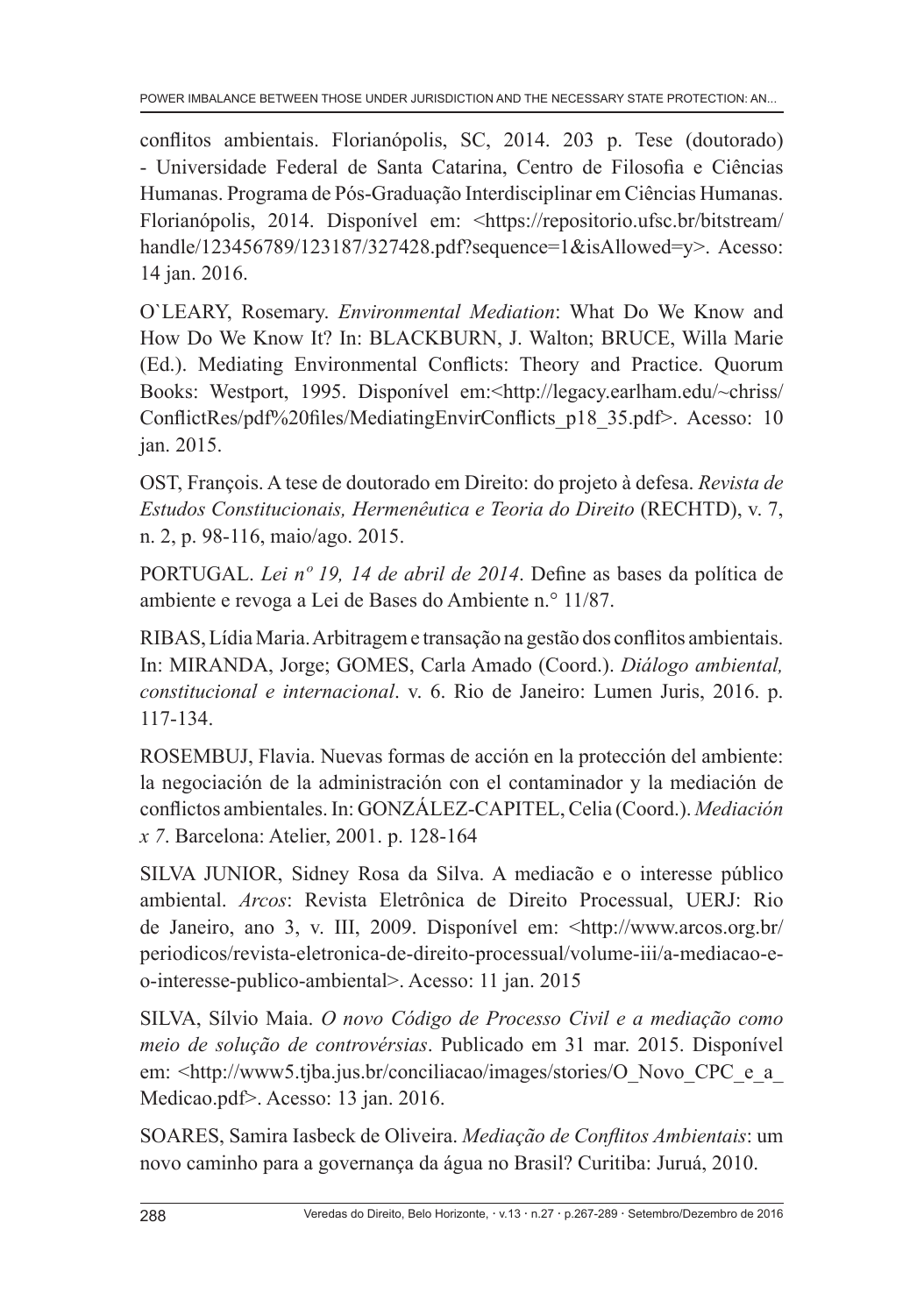conflitos ambientais. Florianópolis, SC, 2014. 203 p. Tese (doutorado) - Universidade Federal de Santa Catarina, Centro de Filosofia e Ciências Humanas. Programa de Pós-Graduação Interdisciplinar em Ciências Humanas. Florianópolis, 2014. Disponível em: <https://repositorio.ufsc.br/bitstream/ handle/123456789/123187/327428.pdf?sequence=1&isAllowed=y>. Acesso: 14 jan. 2016.

O`LEARY, Rosemary. *Environmental Mediation*: What Do We Know and How Do We Know It? In: BLACKBURN, J. Walton; BRUCE, Willa Marie (Ed.). Mediating Environmental Conflicts: Theory and Practice. Quorum Books: Westport, 1995. Disponível em:<http://legacy.earlham.edu/~chriss/ ConflictRes/pdf%20files/MediatingEnvirConflicts\_p18\_35.pdf>. Acesso: 10 jan. 2015.

OST, François. A tese de doutorado em Direito: do projeto à defesa. *Revista de Estudos Constitucionais, Hermenêutica e Teoria do Direito* (RECHTD), v. 7, n. 2, p. 98-116, maio/ago. 2015.

PORTUGAL. *Lei nº 19, 14 de abril de 2014*. Define as bases da política de ambiente e revoga a Lei de Bases do Ambiente n.° 11/87.

RIBAS, Lídia Maria. Arbitragem e transação na gestão dos conflitos ambientais. In: MIRANDA, Jorge; GOMES, Carla Amado (Coord.). *Diálogo ambiental, constitucional e internacional*. v. 6. Rio de Janeiro: Lumen Juris, 2016. p. 117-134.

ROSEMBUJ, Flavia. Nuevas formas de acción en la protección del ambiente: la negociación de la administración con el contaminador y la mediación de conflictos ambientales. In: GONZÁLEZ-CAPITEL, Celia (Coord.). *Mediación x 7*. Barcelona: Atelier, 2001. p. 128-164

SILVA JUNIOR, Sidney Rosa da Silva. A mediacão e o interesse público ambiental. *Arcos*: Revista Eletrônica de Direito Processual, UERJ: Rio de Janeiro, ano 3, v. III, 2009. Disponível em: <http://www.arcos.org.br/ periodicos/revista-eletronica-de-direito-processual/volume-iii/a-mediacao-eo-interesse-publico-ambiental>. Acesso: 11 jan. 2015

SILVA, Sílvio Maia. *O novo Código de Processo Civil e a mediação como meio de solução de controvérsias*. Publicado em 31 mar. 2015. Disponível em: <http://www5.tjba.jus.br/conciliacao/images/stories/O\_Novo\_CPC\_e\_a Medicao.pdf>. Acesso: 13 jan. 2016.

SOARES, Samira Iasbeck de Oliveira. *Mediação de Conflitos Ambientais*: um novo caminho para a governança da água no Brasil? Curitiba: Juruá, 2010.